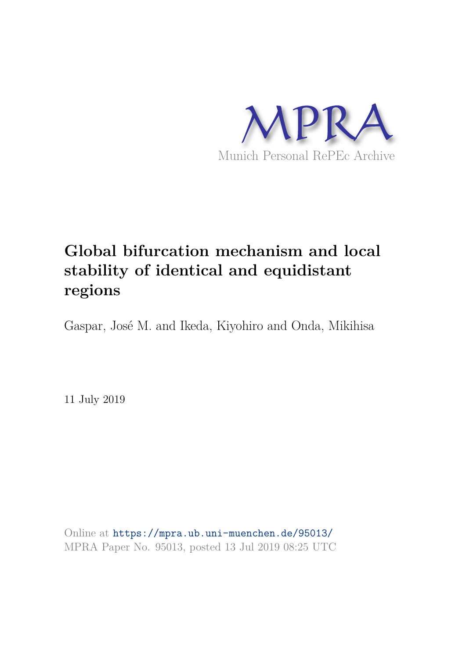

# **Global bifurcation mechanism and local stability of identical and equidistant regions**

Gaspar, José M. and Ikeda, Kiyohiro and Onda, Mikihisa

11 July 2019

Online at https://mpra.ub.uni-muenchen.de/95013/ MPRA Paper No. 95013, posted 13 Jul 2019 08:25 UTC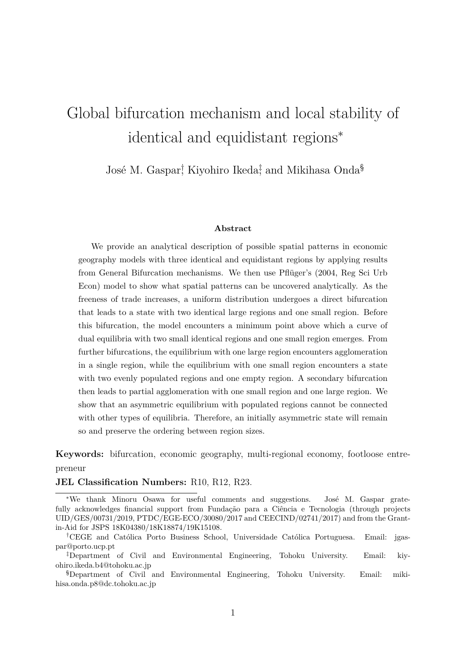# Global bifurcation mechanism and local stability of identical and equidistant regions<sup>∗</sup>

José M. Gaspar<sup>†</sup> Kiyohiro Ikeda<sup>‡</sup> and Mikihasa Onda<sup>§</sup>

#### **Abstract**

We provide an analytical description of possible spatial patterns in economic geography models with three identical and equidistant regions by applying results from General Bifurcation mechanisms. We then use Pflüger's (2004, Reg Sci Urb Econ) model to show what spatial patterns can be uncovered analytically. As the freeness of trade increases, a uniform distribution undergoes a direct bifurcation that leads to a state with two identical large regions and one small region. Before this bifurcation, the model encounters a minimum point above which a curve of dual equilibria with two small identical regions and one small region emerges. From further bifurcations, the equilibrium with one large region encounters agglomeration in a single region, while the equilibrium with one small region encounters a state with two evenly populated regions and one empty region. A secondary bifurcation then leads to partial agglomeration with one small region and one large region. We show that an asymmetric equilibrium with populated regions cannot be connected with other types of equilibria. Therefore, an initially asymmetric state will remain so and preserve the ordering between region sizes.

**Keywords:** bifurcation, economic geography, multi-regional economy, footloose entrepreneur

**JEL Classification Numbers:** R10, R12, R23.

<sup>∗</sup>We thank Minoru Osawa for useful comments and suggestions. José M. Gaspar gratefully acknowledges financial support from Fundação para a Ciência e Tecnologia (through projects UID/GES/00731/2019, PTDC/EGE-ECO/30080/2017 and CEECIND/02741/2017) and from the Grantin-Aid for JSPS 18K04380/18K18874/19K15108.

<sup>†</sup>CEGE and Católica Porto Business School, Universidade Católica Portuguesa. Email: jgaspar@porto.ucp.pt

<sup>‡</sup>Department of Civil and Environmental Engineering, Tohoku University. Email: kiyohiro.ikeda.b4@tohoku.ac.jp

<sup>§</sup>Department of Civil and Environmental Engineering, Tohoku University. Email: mikihisa.onda.p8@dc.tohoku.ac.jp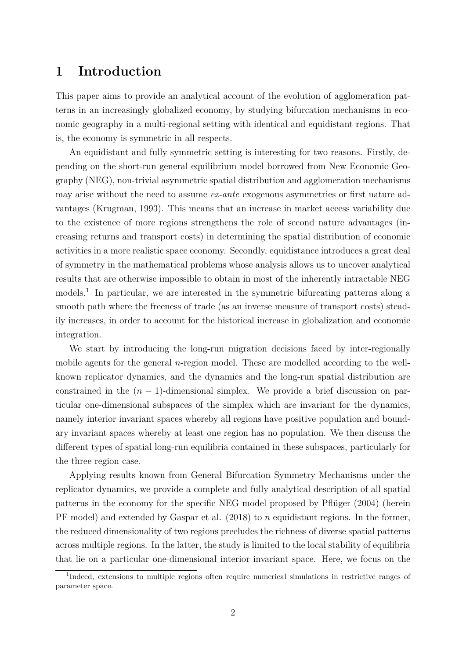## **1 Introduction**

This paper aims to provide an analytical account of the evolution of agglomeration patterns in an increasingly globalized economy, by studying bifurcation mechanisms in economic geography in a multi-regional setting with identical and equidistant regions. That is, the economy is symmetric in all respects.

An equidistant and fully symmetric setting is interesting for two reasons. Firstly, depending on the short-run general equilibrium model borrowed from New Economic Geography (NEG), non-trivial asymmetric spatial distribution and agglomeration mechanisms may arise without the need to assume *ex-ante* exogenous asymmetries or first nature advantages (Krugman, 1993). This means that an increase in market access variability due to the existence of more regions strengthens the role of second nature advantages (increasing returns and transport costs) in determining the spatial distribution of economic activities in a more realistic space economy. Secondly, equidistance introduces a great deal of symmetry in the mathematical problems whose analysis allows us to uncover analytical results that are otherwise impossible to obtain in most of the inherently intractable NEG models.<sup>1</sup> In particular, we are interested in the symmetric bifurcating patterns along a smooth path where the freeness of trade (as an inverse measure of transport costs) steadily increases, in order to account for the historical increase in globalization and economic integration.

We start by introducing the long-run migration decisions faced by inter-regionally mobile agents for the general *n*-region model. These are modelled according to the wellknown replicator dynamics, and the dynamics and the long-run spatial distribution are constrained in the  $(n-1)$ -dimensional simplex. We provide a brief discussion on particular one-dimensional subspaces of the simplex which are invariant for the dynamics, namely interior invariant spaces whereby all regions have positive population and boundary invariant spaces whereby at least one region has no population. We then discuss the different types of spatial long-run equilibria contained in these subspaces, particularly for the three region case.

Applying results known from General Bifurcation Symmetry Mechanisms under the replicator dynamics, we provide a complete and fully analytical description of all spatial patterns in the economy for the specific NEG model proposed by Pflüger (2004) (herein PF model) and extended by Gaspar et al. (2018) to *n* equidistant regions. In the former, the reduced dimensionality of two regions precludes the richness of diverse spatial patterns across multiple regions. In the latter, the study is limited to the local stability of equilibria that lie on a particular one-dimensional interior invariant space. Here, we focus on the

<sup>&</sup>lt;sup>1</sup>Indeed, extensions to multiple regions often require numerical simulations in restrictive ranges of parameter space.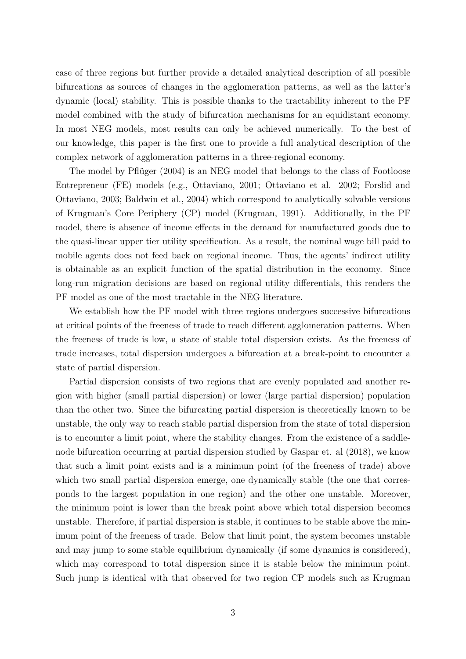case of three regions but further provide a detailed analytical description of all possible bifurcations as sources of changes in the agglomeration patterns, as well as the latter's dynamic (local) stability. This is possible thanks to the tractability inherent to the PF model combined with the study of bifurcation mechanisms for an equidistant economy. In most NEG models, most results can only be achieved numerically. To the best of our knowledge, this paper is the first one to provide a full analytical description of the complex network of agglomeration patterns in a three-regional economy.

The model by Pflüger (2004) is an NEG model that belongs to the class of Footloose Entrepreneur (FE) models (e.g., Ottaviano, 2001; Ottaviano et al. 2002; Forslid and Ottaviano, 2003; Baldwin et al., 2004) which correspond to analytically solvable versions of Krugman's Core Periphery (CP) model (Krugman, 1991). Additionally, in the PF model, there is absence of income effects in the demand for manufactured goods due to the quasi-linear upper tier utility specification. As a result, the nominal wage bill paid to mobile agents does not feed back on regional income. Thus, the agents' indirect utility is obtainable as an explicit function of the spatial distribution in the economy. Since long-run migration decisions are based on regional utility differentials, this renders the PF model as one of the most tractable in the NEG literature.

We establish how the PF model with three regions undergoes successive bifurcations at critical points of the freeness of trade to reach different agglomeration patterns. When the freeness of trade is low, a state of stable total dispersion exists. As the freeness of trade increases, total dispersion undergoes a bifurcation at a break-point to encounter a state of partial dispersion.

Partial dispersion consists of two regions that are evenly populated and another region with higher (small partial dispersion) or lower (large partial dispersion) population than the other two. Since the bifurcating partial dispersion is theoretically known to be unstable, the only way to reach stable partial dispersion from the state of total dispersion is to encounter a limit point, where the stability changes. From the existence of a saddlenode bifurcation occurring at partial dispersion studied by Gaspar et. al (2018), we know that such a limit point exists and is a minimum point (of the freeness of trade) above which two small partial dispersion emerge, one dynamically stable (the one that corresponds to the largest population in one region) and the other one unstable. Moreover, the minimum point is lower than the break point above which total dispersion becomes unstable. Therefore, if partial dispersion is stable, it continues to be stable above the minimum point of the freeness of trade. Below that limit point, the system becomes unstable and may jump to some stable equilibrium dynamically (if some dynamics is considered), which may correspond to total dispersion since it is stable below the minimum point. Such jump is identical with that observed for two region CP models such as Krugman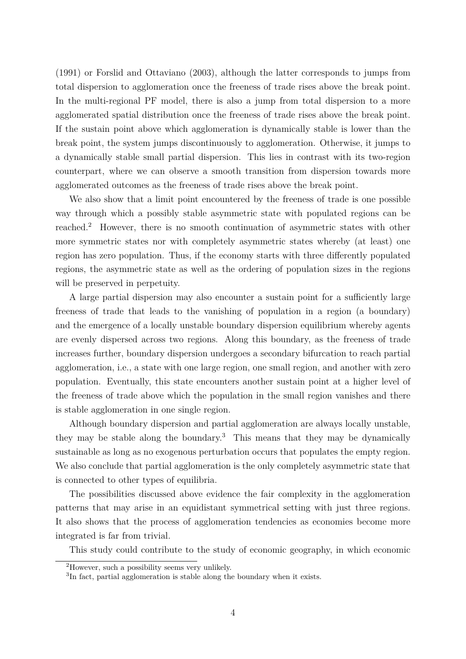(1991) or Forslid and Ottaviano (2003), although the latter corresponds to jumps from total dispersion to agglomeration once the freeness of trade rises above the break point. In the multi-regional PF model, there is also a jump from total dispersion to a more agglomerated spatial distribution once the freeness of trade rises above the break point. If the sustain point above which agglomeration is dynamically stable is lower than the break point, the system jumps discontinuously to agglomeration. Otherwise, it jumps to a dynamically stable small partial dispersion. This lies in contrast with its two-region counterpart, where we can observe a smooth transition from dispersion towards more agglomerated outcomes as the freeness of trade rises above the break point.

We also show that a limit point encountered by the freeness of trade is one possible way through which a possibly stable asymmetric state with populated regions can be reached.<sup>2</sup> However, there is no smooth continuation of asymmetric states with other more symmetric states nor with completely asymmetric states whereby (at least) one region has zero population. Thus, if the economy starts with three differently populated regions, the asymmetric state as well as the ordering of population sizes in the regions will be preserved in perpetuity.

A large partial dispersion may also encounter a sustain point for a sufficiently large freeness of trade that leads to the vanishing of population in a region (a boundary) and the emergence of a locally unstable boundary dispersion equilibrium whereby agents are evenly dispersed across two regions. Along this boundary, as the freeness of trade increases further, boundary dispersion undergoes a secondary bifurcation to reach partial agglomeration, i.e., a state with one large region, one small region, and another with zero population. Eventually, this state encounters another sustain point at a higher level of the freeness of trade above which the population in the small region vanishes and there is stable agglomeration in one single region.

Although boundary dispersion and partial agglomeration are always locally unstable, they may be stable along the boundary.<sup>3</sup> This means that they may be dynamically sustainable as long as no exogenous perturbation occurs that populates the empty region. We also conclude that partial agglomeration is the only completely asymmetric state that is connected to other types of equilibria.

The possibilities discussed above evidence the fair complexity in the agglomeration patterns that may arise in an equidistant symmetrical setting with just three regions. It also shows that the process of agglomeration tendencies as economies become more integrated is far from trivial.

This study could contribute to the study of economic geography, in which economic

<sup>2</sup>However, such a possibility seems very unlikely.

<sup>&</sup>lt;sup>3</sup>In fact, partial agglomeration is stable along the boundary when it exists.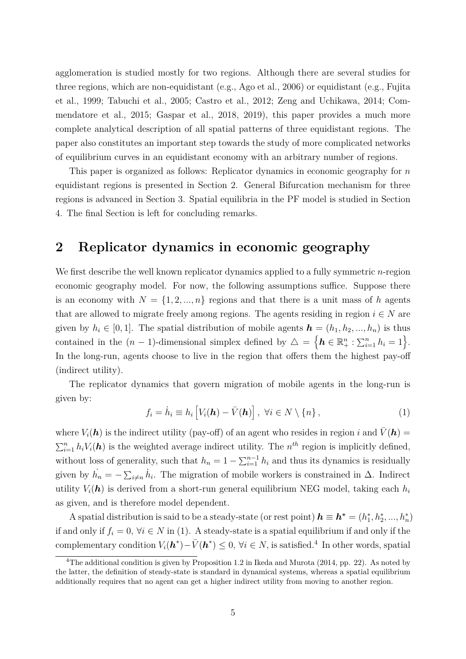agglomeration is studied mostly for two regions. Although there are several studies for three regions, which are non-equidistant (e.g., Ago et al., 2006) or equidistant (e.g., Fujita et al., 1999; Tabuchi et al., 2005; Castro et al., 2012; Zeng and Uchikawa, 2014; Commendatore et al., 2015; Gaspar et al., 2018, 2019), this paper provides a much more complete analytical description of all spatial patterns of three equidistant regions. The paper also constitutes an important step towards the study of more complicated networks of equilibrium curves in an equidistant economy with an arbitrary number of regions.

This paper is organized as follows: Replicator dynamics in economic geography for *n* equidistant regions is presented in Section 2. General Bifurcation mechanism for three regions is advanced in Section 3. Spatial equilibria in the PF model is studied in Section 4. The final Section is left for concluding remarks.

# **2 Replicator dynamics in economic geography**

We first describe the well known replicator dynamics applied to a fully symmetric *n*-region economic geography model. For now, the following assumptions suffice. Suppose there is an economy with  $N = \{1, 2, ..., n\}$  regions and that there is a unit mass of *h* agents that are allowed to migrate freely among regions. The agents residing in region  $i \in N$  are given by  $h_i \in [0, 1]$ . The spatial distribution of mobile agents  $\mathbf{h} = (h_1, h_2, ..., h_n)$  is thus contained in the  $(n-1)$ -dimensional simplex defined by  $\Delta = \{h \in \mathbb{R}^n_+ : \sum_{i=1}^n h_i = 1\}$ . In the long-run, agents choose to live in the region that offers them the highest pay-off (indirect utility).

The replicator dynamics that govern migration of mobile agents in the long-run is given by:

$$
f_i = \dot{h}_i \equiv h_i \left[ V_i(\mathbf{h}) - \bar{V}(\mathbf{h}) \right], \ \forall i \in N \setminus \{n\}, \tag{1}
$$

where  $V_i(\mathbf{h})$  is the indirect utility (pay-off) of an agent who resides in region *i* and  $\bar{V}(\mathbf{h}) =$  $\sum_{i=1}^{n} h_i V_i(\mathbf{h})$  is the weighted average indirect utility. The  $n^{th}$  region is implicitly defined, without loss of generality, such that  $h_n = 1 - \sum_{i=1}^{n-1} h_i$  and thus its dynamics is residually given by  $\dot{h}_n = -\sum_{i \neq n} \dot{h}_i$ . The migration of mobile workers is constrained in  $\Delta$ . Indirect utility  $V_i(\mathbf{h})$  is derived from a short-run general equilibrium NEG model, taking each  $h_i$ as given, and is therefore model dependent.

A spatial distribution is said to be a steady-state (or rest point)  $h \equiv h^* = (h_1^*, h_2^*, ..., h_n^*)$ if and only if  $f_i = 0$ ,  $\forall i \in N$  in (1). A steady-state is a spatial equilibrium if and only if the complementary condition  $V_i(h^*) - \bar{V}(h^*) \leq 0$ ,  $\forall i \in \mathbb{N}$ , is satisfied.<sup>4</sup> In other words, spatial

<sup>&</sup>lt;sup>4</sup>The additional condition is given by Proposition 1.2 in Ikeda and Murota (2014, pp. 22). As noted by the latter, the definition of steady-state is standard in dynamical systems, whereas a spatial equilibrium additionally requires that no agent can get a higher indirect utility from moving to another region.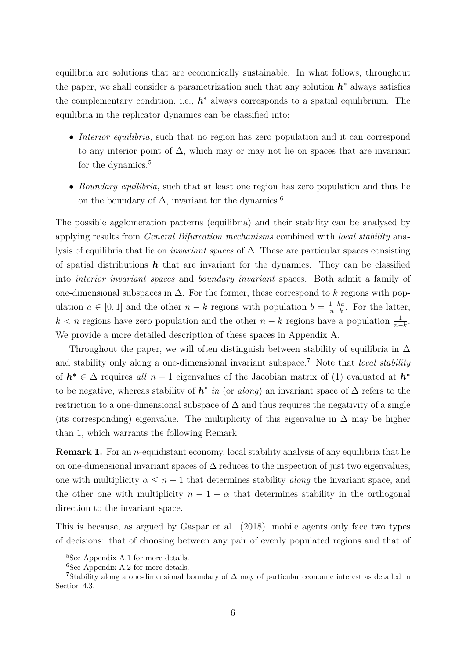equilibria are solutions that are economically sustainable. In what follows, throughout the paper, we shall consider a parametrization such that any solution  $h^*$  always satisfies the complementary condition, i.e.,  $h^*$  always corresponds to a spatial equilibrium. The equilibria in the replicator dynamics can be classified into:

- *Interior equilibria,* such that no region has zero population and it can correspond to any interior point of  $\Delta$ , which may or may not lie on spaces that are invariant for the dynamics.<sup>5</sup>
- *Boundary equilibria,* such that at least one region has zero population and thus lie on the boundary of  $\Delta$ , invariant for the dynamics.<sup>6</sup>

The possible agglomeration patterns (equilibria) and their stability can be analysed by applying results from *General Bifurcation mechanisms* combined with *local stability* analysis of equilibria that lie on *invariant spaces* of ∆*.* These are particular spaces consisting of spatial distributions  $h$  that are invariant for the dynamics. They can be classified into *interior invariant spaces* and *boundary invariant* spaces*.* Both admit a family of one-dimensional subspaces in ∆. For the former, these correspond to *k* regions with population  $a \in [0, 1]$  and the other  $n - k$  regions with population  $b = \frac{1-ka}{n-k}$  $\frac{1-ka}{n-k}$ . For the latter,  $k < n$  regions have zero population and the other  $n - k$  regions have a population  $\frac{1}{n-k}$ . We provide a more detailed description of these spaces in Appendix A.

Throughout the paper, we will often distinguish between stability of equilibria in  $\Delta$ and stability only along a one-dimensional invariant subspace.<sup>7</sup> Note that *local stability* of  $h^* \in \Delta$  requires all  $n-1$  eigenvalues of the Jacobian matrix of (1) evaluated at  $h^*$ to be negative, whereas stability of  $h^*$  *in* (or *along*) an invariant space of  $\Delta$  refers to the restriction to a one-dimensional subspace of  $\Delta$  and thus requires the negativity of a single (its corresponding) eigenvalue. The multiplicity of this eigenvalue in  $\Delta$  may be higher than 1, which warrants the following Remark.

**Remark 1.** For an *n*-equidistant economy, local stability analysis of any equilibria that lie on one-dimensional invariant spaces of  $\Delta$  reduces to the inspection of just two eigenvalues, one with multiplicity  $\alpha \leq n-1$  that determines stability *along* the invariant space, and the other one with multiplicity  $n - 1 - \alpha$  that determines stability in the orthogonal direction to the invariant space.

This is because, as argued by Gaspar et al. (2018), mobile agents only face two types of decisions: that of choosing between any pair of evenly populated regions and that of

<sup>5</sup>See Appendix A.1 for more details.

 ${}^{6}$ See Appendix A.2 for more details.

<sup>&</sup>lt;sup>7</sup>Stability along a one-dimensional boundary of  $\Delta$  may of particular economic interest as detailed in Section 4.3.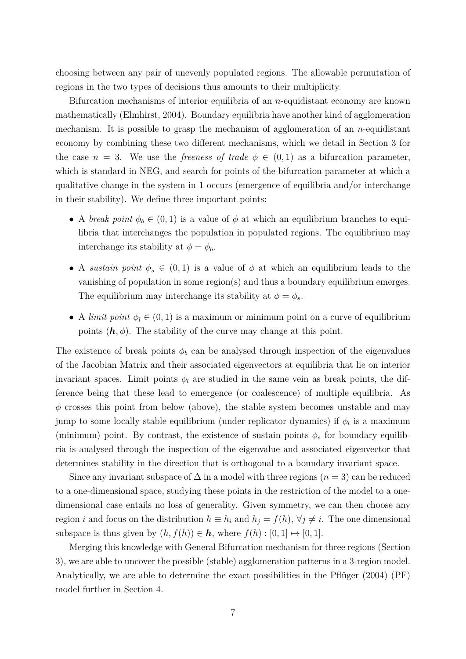choosing between any pair of unevenly populated regions. The allowable permutation of regions in the two types of decisions thus amounts to their multiplicity.

Bifurcation mechanisms of interior equilibria of an *n*-equidistant economy are known mathematically (Elmhirst, 2004). Boundary equilibria have another kind of agglomeration mechanism. It is possible to grasp the mechanism of agglomeration of an *n*-equidistant economy by combining these two different mechanisms, which we detail in Section 3 for the case  $n = 3$ . We use the *freeness of trade*  $\phi \in (0,1)$  as a bifurcation parameter, which is standard in NEG, and search for points of the bifurcation parameter at which a qualitative change in the system in 1 occurs (emergence of equilibria and/or interchange in their stability). We define three important points:

- A *break point*  $\phi_b \in (0,1)$  is a value of  $\phi$  at which an equilibrium branches to equilibria that interchanges the population in populated regions. The equilibrium may interchange its stability at  $\phi = \phi_b$ .
- A *sustain point*  $\phi_s \in (0,1)$  is a value of  $\phi$  at which an equilibrium leads to the vanishing of population in some region(s) and thus a boundary equilibrium emerges. The equilibrium may interchange its stability at  $\phi = \phi_s$ .
- A *limit point*  $\phi_l \in (0,1)$  is a maximum or minimum point on a curve of equilibrium points  $(h, \phi)$ . The stability of the curve may change at this point.

The existence of break points  $\phi_b$  can be analysed through inspection of the eigenvalues of the Jacobian Matrix and their associated eigenvectors at equilibria that lie on interior invariant spaces. Limit points  $\phi_l$  are studied in the same vein as break points, the difference being that these lead to emergence (or coalescence) of multiple equilibria. As  $\phi$  crosses this point from below (above), the stable system becomes unstable and may jump to some locally stable equilibrium (under replicator dynamics) if *φ<sup>l</sup>* is a maximum (minimum) point. By contrast, the existence of sustain points  $\phi_s$  for boundary equilibria is analysed through the inspection of the eigenvalue and associated eigenvector that determines stability in the direction that is orthogonal to a boundary invariant space.

Since any invariant subspace of  $\Delta$  in a model with three regions  $(n = 3)$  can be reduced to a one-dimensional space, studying these points in the restriction of the model to a onedimensional case entails no loss of generality. Given symmetry, we can then choose any region *i* and focus on the distribution  $h \equiv h_i$  and  $h_j = f(h)$ ,  $\forall j \neq i$ . The one dimensional subspace is thus given by  $(h, f(h)) \in \mathbf{h}$ , where  $f(h) : [0, 1] \mapsto [0, 1]$ .

Merging this knowledge with General Bifurcation mechanism for three regions (Section 3), we are able to uncover the possible (stable) agglomeration patterns in a 3-region model. Analytically, we are able to determine the exact possibilities in the Pflüger (2004) (PF) model further in Section 4.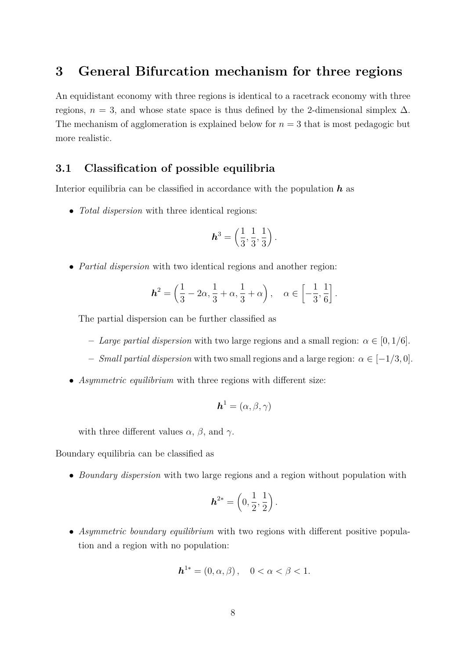## **3 General Bifurcation mechanism for three regions**

An equidistant economy with three regions is identical to a racetrack economy with three regions,  $n = 3$ , and whose state space is thus defined by the 2-dimensional simplex  $\Delta$ . The mechanism of agglomeration is explained below for  $n = 3$  that is most pedagogic but more realistic.

## **3.1 Classification of possible equilibria**

Interior equilibria can be classified in accordance with the population *h* as

• *Total dispersion* with three identical regions:

$$
\mathbf{h}^3 = \left(\frac{1}{3}, \frac{1}{3}, \frac{1}{3}\right).
$$

• *Partial dispersion* with two identical regions and another region:

$$
\mathbf{h}^2 = \left(\frac{1}{3} - 2\alpha, \frac{1}{3} + \alpha, \frac{1}{3} + \alpha\right), \quad \alpha \in \left[-\frac{1}{3}, \frac{1}{6}\right].
$$

The partial dispersion can be further classified as

- **–** *Large partial dispersion* with two large regions and a small region: *α* ∈ [0*,* 1*/*6].
- **–** *Small partial dispersion* with two small regions and a large region: *α* ∈ [−1*/*3*,* 0].
- *Asymmetric equilibrium* with three regions with different size:

$$
\boldsymbol{h}^1=(\alpha,\beta,\gamma)
$$

with three different values  $\alpha$ ,  $\beta$ , and  $\gamma$ .

Boundary equilibria can be classified as

• *Boundary dispersion* with two large regions and a region without population with

$$
\boldsymbol{h}^{2*} = \left(0, \frac{1}{2}, \frac{1}{2}\right).
$$

• *Asymmetric boundary equilibrium* with two regions with different positive population and a region with no population:

$$
h^{1*} = (0, \alpha, \beta), \quad 0 < \alpha < \beta < 1.
$$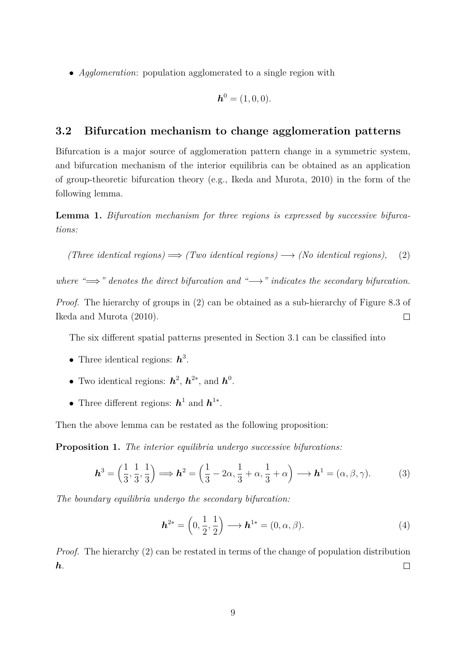• *Agglomeration*: population agglomerated to a single region with

$$
\boldsymbol{h}^0=(1,0,0).
$$

## **3.2 Bifurcation mechanism to change agglomeration patterns**

Bifurcation is a major source of agglomeration pattern change in a symmetric system, and bifurcation mechanism of the interior equilibria can be obtained as an application of group-theoretic bifurcation theory (e.g., Ikeda and Murota, 2010) in the form of the following lemma.

**Lemma 1.** *Bifurcation mechanism for three regions is expressed by successive bifurcations:*

(Three identical regions) 
$$
\implies
$$
 (Two identical regions)  $\longrightarrow$  (No identical regions), (2)

*where "⇒ "* denotes the direct bifurcation and "→" indicates the secondary bifurcation.

*Proof.* The hierarchy of groups in (2) can be obtained as a sub-hierarchy of Figure 8.3 of  $\Box$ Ikeda and Murota (2010).

The six different spatial patterns presented in Section 3.1 can be classified into

- Three identical regions: *h* 3 .
- Two identical regions:  $h^2$ ,  $h^{2*}$ , and  $h^0$ .
- Three different regions: *h* 1 and *h* 1∗ .

Then the above lemma can be restated as the following proposition:

**Proposition 1.** *The interior equilibria undergo successive bifurcations:*

$$
\boldsymbol{h}^3 = \left(\frac{1}{3}, \frac{1}{3}, \frac{1}{3}\right) \Longrightarrow \boldsymbol{h}^2 = \left(\frac{1}{3} - 2\alpha, \frac{1}{3} + \alpha, \frac{1}{3} + \alpha\right) \Longrightarrow \boldsymbol{h}^1 = (\alpha, \beta, \gamma). \tag{3}
$$

*The boundary equilibria undergo the secondary bifurcation:*

$$
\boldsymbol{h}^{2*} = \left(0, \frac{1}{2}, \frac{1}{2}\right) \longrightarrow \boldsymbol{h}^{1*} = (0, \alpha, \beta). \tag{4}
$$

*Proof.* The hierarchy (2) can be restated in terms of the change of population distribution *h*.  $\Box$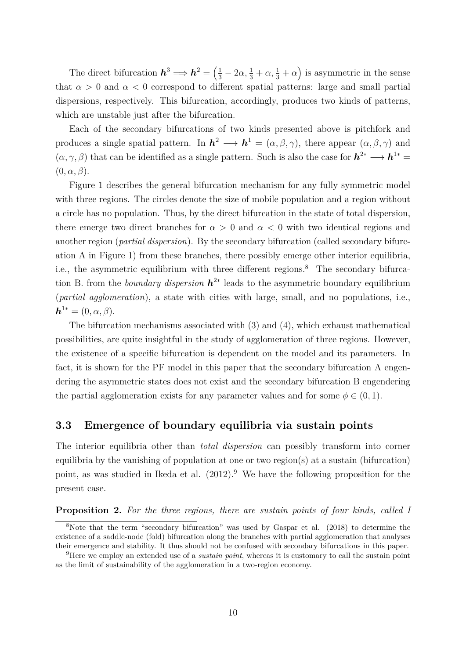The direct bifurcation  $h^3 \implies h^2 = \left(\frac{1}{3} - 2\alpha, \frac{1}{3} + \alpha, \frac{1}{3} + \alpha\right)$  is asymmetric in the sense that  $\alpha > 0$  and  $\alpha < 0$  correspond to different spatial patterns: large and small partial dispersions, respectively. This bifurcation, accordingly, produces two kinds of patterns, which are unstable just after the bifurcation.

Each of the secondary bifurcations of two kinds presented above is pitchfork and produces a single spatial pattern. In  $h^2 \longrightarrow h^1 = (\alpha, \beta, \gamma)$ , there appear  $(\alpha, \beta, \gamma)$  and  $(\alpha, \gamma, \beta)$  that can be identified as a single pattern. Such is also the case for  $h^{2*} \longrightarrow h^{1*} =$  $(0, \alpha, \beta)$ .

Figure 1 describes the general bifurcation mechanism for any fully symmetric model with three regions. The circles denote the size of mobile population and a region without a circle has no population. Thus, by the direct bifurcation in the state of total dispersion, there emerge two direct branches for  $\alpha > 0$  and  $\alpha < 0$  with two identical regions and another region (*partial dispersion*). By the secondary bifurcation (called secondary bifurcation A in Figure 1) from these branches, there possibly emerge other interior equilibria, i.e., the asymmetric equilibrium with three different regions.<sup>8</sup> The secondary bifurcation B. from the *boundary dispersion h* 2∗ leads to the asymmetric boundary equilibrium (*partial agglomeration*), a state with cities with large, small, and no populations, i.e.,  $h^{1*} = (0, \alpha, \beta).$ 

The bifurcation mechanisms associated with (3) and (4), which exhaust mathematical possibilities, are quite insightful in the study of agglomeration of three regions. However, the existence of a specific bifurcation is dependent on the model and its parameters. In fact, it is shown for the PF model in this paper that the secondary bifurcation A engendering the asymmetric states does not exist and the secondary bifurcation B engendering the partial agglomeration exists for any parameter values and for some  $\phi \in (0,1)$ .

## **3.3 Emergence of boundary equilibria via sustain points**

The interior equilibria other than *total dispersion* can possibly transform into corner equilibria by the vanishing of population at one or two region(s) at a sustain (bifurcation) point, as was studied in Ikeda et al.  $(2012).<sup>9</sup>$  We have the following proposition for the present case.

#### **Proposition 2.** *For the three regions, there are sustain points of four kinds, called I*

<sup>8</sup>Note that the term "secondary bifurcation" was used by Gaspar et al. (2018) to determine the existence of a saddle-node (fold) bifurcation along the branches with partial agglomeration that analyses their emergence and stability. It thus should not be confused with secondary bifurcations in this paper.

<sup>9</sup>Here we employ an extended use of a *sustain point*, whereas it is customary to call the sustain point as the limit of sustainability of the agglomeration in a two-region economy.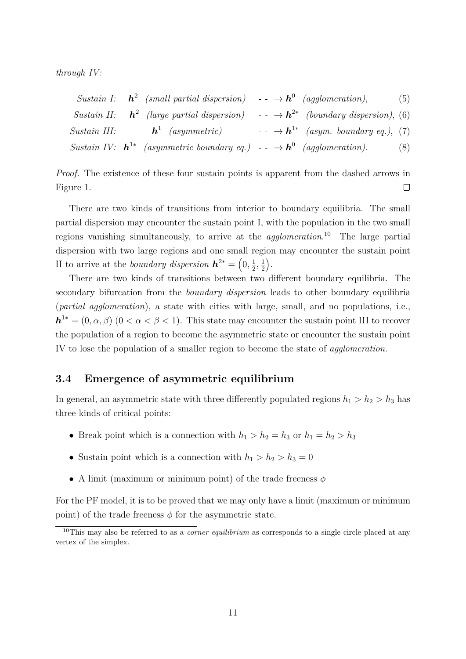*through IV:*

|  | Sustain I: $h^2$ (small partial dispersion) -- $\rightarrow h^0$ (agglomeration),                           |  |  |                                                    | (5) |
|--|-------------------------------------------------------------------------------------------------------------|--|--|----------------------------------------------------|-----|
|  | Sustain II: $h^2$ (large partial dispersion) -- $\rightarrow h^{2*}$ (boundary dispersion), (6)             |  |  |                                                    |     |
|  | Sustain III: $h^1$ (asymmetric)                                                                             |  |  | $- - \rightarrow h^{1*}$ (asym. boundary eq.), (7) |     |
|  | Sustain IV: $\mathbf{h}^{1*}$ (asymmetric boundary eq.) - $\rightarrow \mathbf{h}^{0}$ (agglomeration). (8) |  |  |                                                    |     |

*Proof.* The existence of these four sustain points is apparent from the dashed arrows in Figure 1.  $\Box$ 

There are two kinds of transitions from interior to boundary equilibria. The small partial dispersion may encounter the sustain point I, with the population in the two small regions vanishing simultaneously, to arrive at the *agglomeration*. <sup>10</sup> The large partial dispersion with two large regions and one small region may encounter the sustain point II to arrive at the *boundary dispersion*  $h^{2*} = \left(0, \frac{1}{2}\right)$  $\frac{1}{2}, \frac{1}{2}$  $\frac{1}{2}$ .

There are two kinds of transitions between two different boundary equilibria. The secondary bifurcation from the *boundary dispersion* leads to other boundary equilibria (*partial agglomeration*), a state with cities with large, small, and no populations, i.e.,  $h^{1*} = (0, \alpha, \beta)$   $(0 < \alpha < \beta < 1)$ . This state may encounter the sustain point III to recover the population of a region to become the asymmetric state or encounter the sustain point IV to lose the population of a smaller region to become the state of *agglomeration.*

#### **3.4 Emergence of asymmetric equilibrium**

In general, an asymmetric state with three differently populated regions  $h_1 > h_2 > h_3$  has three kinds of critical points:

- Break point which is a connection with  $h_1 > h_2 = h_3$  or  $h_1 = h_2 > h_3$
- Sustain point which is a connection with  $h_1 > h_2 > h_3 = 0$
- A limit (maximum or minimum point) of the trade freeness *φ*

For the PF model, it is to be proved that we may only have a limit (maximum or minimum point) of the trade freeness  $\phi$  for the asymmetric state.

<sup>10</sup>This may also be referred to as a *corner equilibrium* as corresponds to a single circle placed at any vertex of the simplex.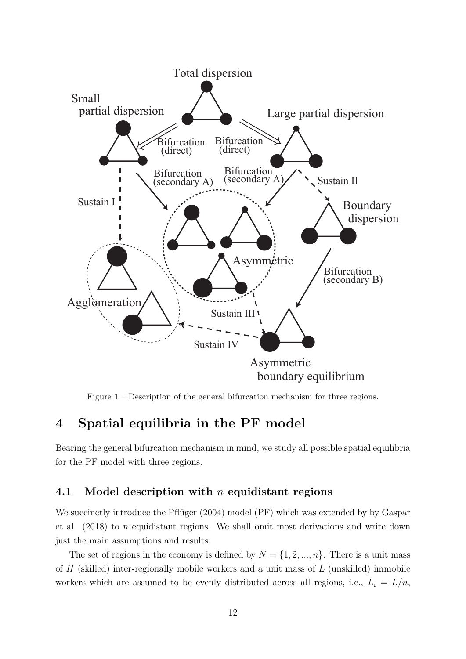

Figure 1 – Description of the general bifurcation mechanism for three regions.

# **4 Spatial equilibria in the PF model**

Bearing the general bifurcation mechanism in mind, we study all possible spatial equilibria for the PF model with three regions.

## **4.1 Model description with** *n* **equidistant regions**

We succinctly introduce the Pflüger (2004) model (PF) which was extended by by Gaspar et al. (2018) to *n* equidistant regions. We shall omit most derivations and write down just the main assumptions and results.

The set of regions in the economy is defined by  $N = \{1, 2, ..., n\}$ . There is a unit mass of *H* (skilled) inter-regionally mobile workers and a unit mass of *L* (unskilled) immobile workers which are assumed to be evenly distributed across all regions, i.e.,  $L_i = L/n$ ,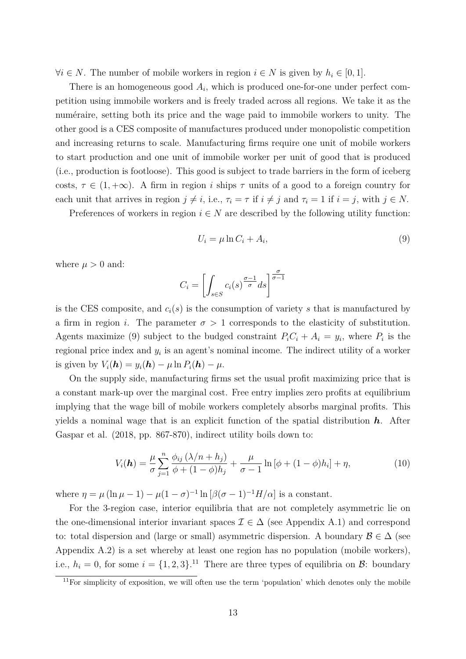$∀i ∈ N$ . The number of mobile workers in region  $i ∈ N$  is given by  $h_i ∈ [0, 1]$ .

There is an homogeneous good  $A_i$ , which is produced one-for-one under perfect competition using immobile workers and is freely traded across all regions. We take it as the numéraire, setting both its price and the wage paid to immobile workers to unity. The other good is a CES composite of manufactures produced under monopolistic competition and increasing returns to scale. Manufacturing firms require one unit of mobile workers to start production and one unit of immobile worker per unit of good that is produced (i.e., production is footloose). This good is subject to trade barriers in the form of iceberg costs,  $\tau \in (1, +\infty)$ . A firm in region *i* ships  $\tau$  units of a good to a foreign country for each unit that arrives in region  $j \neq i$ , i.e.,  $\tau_i = \tau$  if  $i \neq j$  and  $\tau_i = 1$  if  $i = j$ , with  $j \in N$ .

Preferences of workers in region  $i \in N$  are described by the following utility function:

$$
U_i = \mu \ln C_i + A_i,\tag{9}
$$

where  $\mu > 0$  and:

$$
C_i = \left[ \int_{s \in S} c_i(s)^{\frac{\sigma - 1}{\sigma}} ds \right]^{\frac{\sigma}{\sigma - 1}}
$$

is the CES composite, and  $c_i(s)$  is the consumption of variety *s* that is manufactured by a firm in region *i*. The parameter  $\sigma > 1$  corresponds to the elasticity of substitution. Agents maximize (9) subject to the budged constraint  $P_i C_i + A_i = y_i$ , where  $P_i$  is the regional price index and  $y_i$  is an agent's nominal income. The indirect utility of a worker is given by  $V_i(\mathbf{h}) = y_i(\mathbf{h}) - \mu \ln P_i(\mathbf{h}) - \mu$ .

On the supply side, manufacturing firms set the usual profit maximizing price that is a constant mark-up over the marginal cost. Free entry implies zero profits at equilibrium implying that the wage bill of mobile workers completely absorbs marginal profits. This yields a nominal wage that is an explicit function of the spatial distribution *h*. After Gaspar et al. (2018, pp. 867-870), indirect utility boils down to:

$$
V_i(\mathbf{h}) = \frac{\mu}{\sigma} \sum_{j=1}^n \frac{\phi_{ij} (\lambda/n + h_j)}{\phi + (1 - \phi)h_j} + \frac{\mu}{\sigma - 1} \ln [\phi + (1 - \phi)h_i] + \eta,
$$
 (10)

where  $\eta = \mu (\ln \mu - 1) - \mu (1 - \sigma)^{-1} \ln [\beta (\sigma - 1)^{-1} H/\alpha]$  is a constant.

For the 3-region case, interior equilibria that are not completely asymmetric lie on the one-dimensional interior invariant spaces  $\mathcal{I} \in \Delta$  (see Appendix A.1) and correspond to: total dispersion and (large or small) asymmetric dispersion. A boundary  $\mathcal{B} \in \Delta$  (see Appendix A.2) is a set whereby at least one region has no population (mobile workers), i.e.,  $h_i = 0$ , for some  $i = \{1, 2, 3\}$ .<sup>11</sup> There are three types of equilibria on  $\mathcal{B}$ : boundary

 $\frac{11}{11}$  For simplicity of exposition, we will often use the term 'population' which denotes only the mobile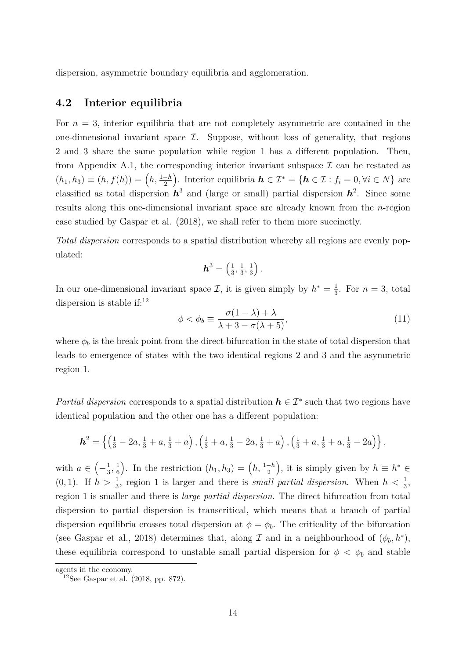dispersion, asymmetric boundary equilibria and agglomeration.

## **4.2 Interior equilibria**

For  $n = 3$ , interior equilibria that are not completely asymmetric are contained in the one-dimensional invariant space  $\mathcal{I}$ . Suppose, without loss of generality, that regions 2 and 3 share the same population while region 1 has a different population. Then, from Appendix A.1, the corresponding interior invariant subspace  $\mathcal I$  can be restated as  $(h_1, h_3) \equiv (h, f(h)) = (h, \frac{1-h}{2})$ . Interior equilibria  $h \in \mathcal{I}^* = \{h \in \mathcal{I} : f_i = 0, \forall i \in N\}$  are classified as total dispersion  $h^3$  and (large or small) partial dispersion  $h^2$ . Since some results along this one-dimensional invariant space are already known from the *n*-region case studied by Gaspar et al. (2018), we shall refer to them more succinctly.

*Total dispersion* corresponds to a spatial distribution whereby all regions are evenly populated:

$$
\mathbf{h}^3 = \left(\frac{1}{3}, \frac{1}{3}, \frac{1}{3}\right).
$$

In our one-dimensional invariant space  $\mathcal{I}$ , it is given simply by  $h^* = \frac{1}{3}$  $\frac{1}{3}$ . For  $n=3$ , total dispersion is stable if: $12$ 

$$
\phi < \phi_b \equiv \frac{\sigma(1-\lambda) + \lambda}{\lambda + 3 - \sigma(\lambda + 5)},\tag{11}
$$

where  $\phi_b$  is the break point from the direct bifurcation in the state of total dispersion that leads to emergence of states with the two identical regions 2 and 3 and the asymmetric region 1.

*Partial dispersion* corresponds to a spatial distribution  $h \in \mathcal{I}^*$  such that two regions have identical population and the other one has a different population:

$$
\mathbf{h}^{2} = \left\{ \left( \frac{1}{3} - 2a, \frac{1}{3} + a, \frac{1}{3} + a \right), \left( \frac{1}{3} + a, \frac{1}{3} - 2a, \frac{1}{3} + a \right), \left( \frac{1}{3} + a, \frac{1}{3} + a, \frac{1}{3} - 2a \right) \right\},\
$$

with  $a \in \left(-\frac{1}{3}\right)$  $\frac{1}{3}, \frac{1}{6}$  $\left(\frac{1}{6}\right)$ . In the restriction  $(h_1, h_3) = (h, \frac{1-h}{2})$ , it is simply given by  $h \equiv h^* \in$  $(0, 1)$ . If  $h > \frac{1}{3}$ , region 1 is larger and there is *small partial dispersion*. When  $h < \frac{1}{3}$ , region 1 is smaller and there is *large partial dispersion*. The direct bifurcation from total dispersion to partial dispersion is transcritical, which means that a branch of partial dispersion equilibria crosses total dispersion at  $\phi = \phi_b$ . The criticality of the bifurcation (see Gaspar et al., 2018) determines that, along  $\mathcal I$  and in a neighbourhood of  $(\phi_b, h^*)$ , these equilibria correspond to unstable small partial dispersion for  $\phi < \phi_b$  and stable

agents in the economy.

 $12$ See Gaspar et al. (2018, pp. 872).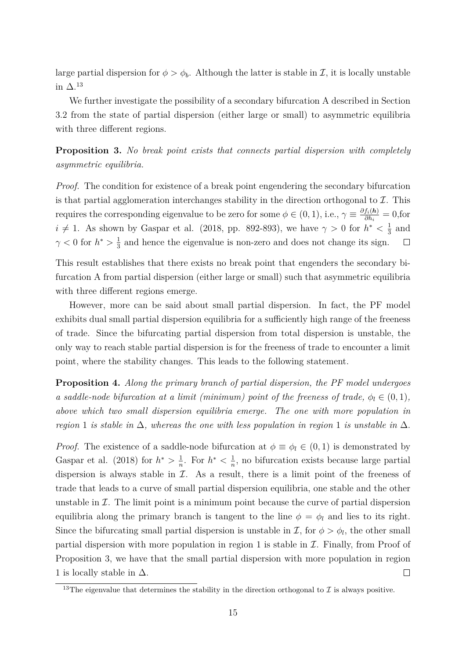large partial dispersion for  $\phi > \phi_b$ . Although the latter is stable in *I*, it is locally unstable in  $\Delta$ <sup>13</sup>

We further investigate the possibility of a secondary bifurcation A described in Section 3.2 from the state of partial dispersion (either large or small) to asymmetric equilibria with three different regions.

**Proposition 3.** *No break point exists that connects partial dispersion with completely asymmetric equilibria.*

*Proof.* The condition for existence of a break point engendering the secondary bifurcation is that partial agglomeration interchanges stability in the direction orthogonal to  $\mathcal{I}$ . This requires the corresponding eigenvalue to be zero for some  $\phi \in (0, 1)$ , i.e.,  $\gamma \equiv \frac{\partial f_i(h)}{\partial h_i}$  $\frac{J_i(n)}{\partial h_i} = 0,$ for  $i \neq 1$ . As shown by Gaspar et al. (2018, pp. 892-893), we have  $\gamma > 0$  for  $h^* < \frac{1}{3}$  $\frac{1}{3}$  and  $\gamma$  < 0 for  $h^*$  >  $\frac{1}{3}$  $\frac{1}{3}$  and hence the eigenvalue is non-zero and does not change its sign.  $\Box$ 

This result establishes that there exists no break point that engenders the secondary bifurcation A from partial dispersion (either large or small) such that asymmetric equilibria with three different regions emerge.

However, more can be said about small partial dispersion. In fact, the PF model exhibits dual small partial dispersion equilibria for a sufficiently high range of the freeness of trade. Since the bifurcating partial dispersion from total dispersion is unstable, the only way to reach stable partial dispersion is for the freeness of trade to encounter a limit point, where the stability changes. This leads to the following statement.

**Proposition 4.** *Along the primary branch of partial dispersion, the PF model undergoes a saddle-node bifurcation at a limit (minimum) point of the freeness of trade,*  $\phi_l \in (0,1)$ *, above which two small dispersion equilibria emerge. The one with more population in region* 1 *is stable in*  $\Delta$ *, whereas the one with less population in region* 1 *is unstable in*  $\Delta$ *.* 

*Proof.* The existence of a saddle-node bifurcation at  $\phi \equiv \phi_l \in (0,1)$  is demonstrated by Gaspar et al. (2018) for  $h^* > \frac{1}{n}$  $\frac{1}{n}$ . For  $h^* < \frac{1}{n}$  $\frac{1}{n}$ , no bifurcation exists because large partial dispersion is always stable in  $\mathcal I$ . As a result, there is a limit point of the freeness of trade that leads to a curve of small partial dispersion equilibria, one stable and the other unstable in  $\mathcal I$ . The limit point is a minimum point because the curve of partial dispersion equilibria along the primary branch is tangent to the line  $\phi = \phi_l$  and lies to its right. Since the bifurcating small partial dispersion is unstable in  $\mathcal{I}$ , for  $\phi > \phi_l$ , the other small partial dispersion with more population in region 1 is stable in  $\mathcal I$ . Finally, from Proof of Proposition 3, we have that the small partial dispersion with more population in region 1 is locally stable in  $\Delta$ .  $\Box$ 

<sup>&</sup>lt;sup>13</sup>The eigenvalue that determines the stability in the direction orthogonal to  $\mathcal I$  is always positive.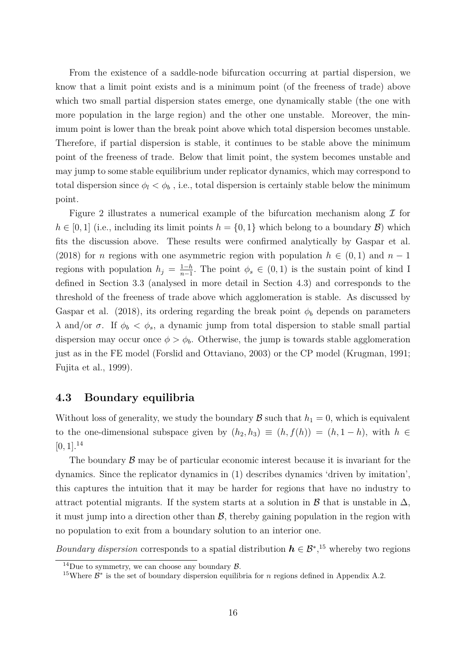From the existence of a saddle-node bifurcation occurring at partial dispersion, we know that a limit point exists and is a minimum point (of the freeness of trade) above which two small partial dispersion states emerge, one dynamically stable (the one with more population in the large region) and the other one unstable. Moreover, the minimum point is lower than the break point above which total dispersion becomes unstable. Therefore, if partial dispersion is stable, it continues to be stable above the minimum point of the freeness of trade. Below that limit point, the system becomes unstable and may jump to some stable equilibrium under replicator dynamics, which may correspond to total dispersion since  $\phi_l < \phi_b$ , i.e., total dispersion is certainly stable below the minimum point.

Figure 2 illustrates a numerical example of the bifurcation mechanism along  $\mathcal I$  for  $h \in [0,1]$  (i.e., including its limit points  $h = \{0,1\}$  which belong to a boundary  $\mathcal{B}$ ) which fits the discussion above. These results were confirmed analytically by Gaspar et al. (2018) for *n* regions with one asymmetric region with population  $h \in (0,1)$  and  $n-1$ regions with population  $h_j = \frac{1-h}{n-1}$  $\frac{1-h}{n-1}$ . The point  $\phi_s \in (0,1)$  is the sustain point of kind I defined in Section 3.3 (analysed in more detail in Section 4.3) and corresponds to the threshold of the freeness of trade above which agglomeration is stable. As discussed by Gaspar et al. (2018), its ordering regarding the break point  $\phi_b$  depends on parameters *λ* and/or *σ*. If  $φ$ <sub>*b*</sub>  $\lt$   $φ$ <sub>*s*</sub>, a dynamic jump from total dispersion to stable small partial dispersion may occur once  $\phi > \phi_b$ . Otherwise, the jump is towards stable agglomeration just as in the FE model (Forslid and Ottaviano, 2003) or the CP model (Krugman, 1991; Fujita et al., 1999).

## **4.3 Boundary equilibria**

Without loss of generality, we study the boundary  $\mathcal{B}$  such that  $h_1 = 0$ , which is equivalent to the one-dimensional subspace given by  $(h_2, h_3) \equiv (h, f(h)) = (h, 1-h)$ , with  $h \in$  $[0, 1]$ <sup>14</sup>

The boundary  $\beta$  may be of particular economic interest because it is invariant for the dynamics. Since the replicator dynamics in (1) describes dynamics 'driven by imitation', this captures the intuition that it may be harder for regions that have no industry to attract potential migrants. If the system starts at a solution in B that is unstable in  $\Delta$ , it must jump into a direction other than  $\mathcal{B}$ , thereby gaining population in the region with no population to exit from a boundary solution to an interior one.

*Boundary dispersion* corresponds to a spatial distribution  $h \in \mathcal{B}^*$ ,<sup>15</sup> whereby two regions

<sup>&</sup>lt;sup>14</sup>Due to symmetry, we can choose any boundary  $\beta$ .

<sup>&</sup>lt;sup>15</sup>Where  $\mathcal{B}^*$  is the set of boundary dispersion equilibria for *n* regions defined in Appendix A.2.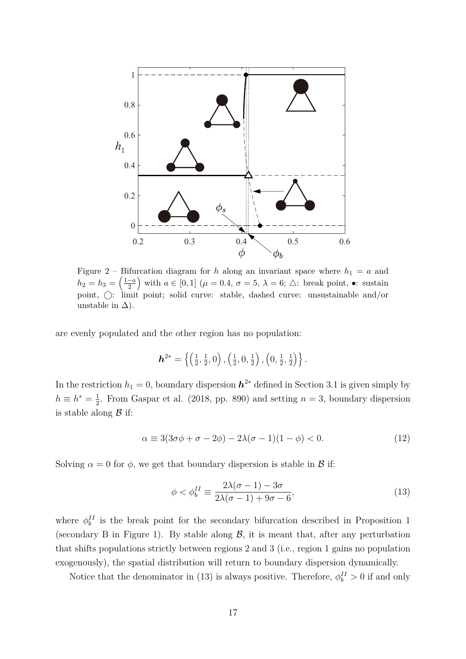

Figure 2 – Bifurcation diagram for *h* along an invariant space where  $h_1 = a$  and  $h_2 = h_3 = \left(\frac{1-a}{2}\right)$  $\left(\frac{-a}{2}\right)$  with  $a \in [0,1]$  ( $\mu = 0.4$ ,  $\sigma = 5$ ,  $\lambda = 6$ ;  $\triangle$ : break point, •: sustain point,  $\bigcirc$ : limit point; solid curve: stable, dashed curve: unsustainable and/or unstable in  $\Delta$ ).

are evenly populated and the other region has no population:

$$
\mathbf{h}^{2*} = \left\{ \left( \frac{1}{2}, \frac{1}{2}, 0 \right), \left( \frac{1}{2}, 0, \frac{1}{2} \right), \left( 0, \frac{1}{2}, \frac{1}{2} \right) \right\}.
$$

In the restriction  $h_1 = 0$ , boundary dispersion  $h^{2*}$  defined in Section 3.1 is given simply by  $h \equiv h^* = \frac{1}{2}$  $\frac{1}{2}$ . From Gaspar et al. (2018, pp. 890) and setting  $n = 3$ , boundary dispersion is stable along  $\beta$  if:

$$
\alpha \equiv 3(3\sigma\phi + \sigma - 2\phi) - 2\lambda(\sigma - 1)(1 - \phi) < 0. \tag{12}
$$

Solving  $\alpha = 0$  for  $\phi$ , we get that boundary dispersion is stable in  $\beta$  if:

$$
\phi < \phi_b^{II} \equiv \frac{2\lambda(\sigma - 1) - 3\sigma}{2\lambda(\sigma - 1) + 9\sigma - 6},\tag{13}
$$

where  $\phi_b^{\{I\}}$  is the break point for the secondary bifurcation described in Proposition 1 (secondary B in Figure 1). By stable along  $\mathcal{B}$ , it is meant that, after any perturbation that shifts populations strictly between regions 2 and 3 (i.e., region 1 gains no population exogenously), the spatial distribution will return to boundary dispersion dynamically.

Notice that the denominator in (13) is always positive. Therefore,  $\phi_b^{II} > 0$  if and only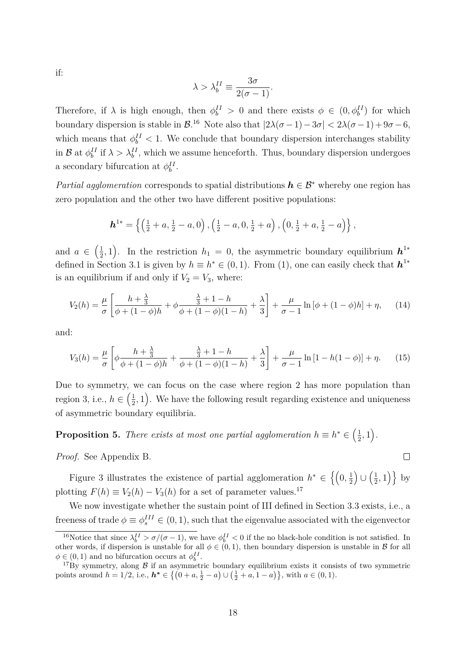if:

$$
\lambda > \lambda_b^{II} \equiv \frac{3\sigma}{2(\sigma - 1)}.
$$

Therefore, if  $\lambda$  is high enough, then  $\phi_b^{II} > 0$  and there exists  $\phi \in (0, \phi_b^{II})$  for which boundary dispersion is stable in  $\mathcal{B}^{16}$ . Note also that  $|2\lambda(\sigma-1)-3\sigma| < 2\lambda(\sigma-1)+9\sigma-6$ , which means that  $\phi_b^{II} < 1$ . We conclude that boundary dispersion interchanges stability in  $\mathcal{B}$  at  $\phi_b^{\{I\}}$  if  $\lambda > \lambda_b^{\{I\}}$ , which we assume henceforth. Thus, boundary dispersion undergoes a secondary bifurcation at  $\phi_b^{II}$ .

*Partial agglomeration* corresponds to spatial distributions  $h \in \mathcal{B}^*$  whereby one region has zero population and the other two have different positive populations:

$$
\boldsymbol{h}^{1*} = \left\{ \left( \frac{1}{2} + a, \frac{1}{2} - a, 0 \right), \left( \frac{1}{2} - a, 0, \frac{1}{2} + a \right), \left( 0, \frac{1}{2} + a, \frac{1}{2} - a \right) \right\},\
$$

and  $a \in \left(\frac{1}{2}\right)$  $(\frac{1}{2}, 1)$ . In the restriction  $h_1 = 0$ , the asymmetric boundary equilibrium  $h^{1*}$ defined in Section 3.1 is given by  $h \equiv h^* \in (0,1)$ . From (1), one can easily check that  $h^{1*}$ is an equilibrium if and only if  $V_2 = V_3$ , where:

$$
V_2(h) = \frac{\mu}{\sigma} \left[ \frac{h + \frac{\lambda}{3}}{\phi + (1 - \phi)h} + \phi \frac{\frac{\lambda}{3} + 1 - h}{\phi + (1 - \phi)(1 - h)} + \frac{\lambda}{3} \right] + \frac{\mu}{\sigma - 1} \ln \left[ \phi + (1 - \phi)h \right] + \eta, \tag{14}
$$

and:

$$
V_3(h) = \frac{\mu}{\sigma} \left[ \phi \frac{h + \frac{\lambda}{3}}{\phi + (1 - \phi)h} + \frac{\frac{\lambda}{3} + 1 - h}{\phi + (1 - \phi)(1 - h)} + \frac{\lambda}{3} \right] + \frac{\mu}{\sigma - 1} \ln\left[1 - h(1 - \phi)\right] + \eta. \tag{15}
$$

Due to symmetry, we can focus on the case where region 2 has more population than region 3, i.e.,  $h \in \left(\frac{1}{2}\right)$  $(\frac{1}{2}, 1)$ . We have the following result regarding existence and uniqueness of asymmetric boundary equilibria.

**Proposition 5.** *There exists at most one partial agglomeration*  $h \equiv h^* \in \left(\frac{1}{2}\right)$  $\frac{1}{2}, 1$ .

*Proof.* See Appendix B.

Figure 3 illustrates the existence of partial agglomeration  $h^* \in \left\{ \left(0, \frac{1}{2}\right)$  $\frac{1}{2}$   $\cup$   $\left(\frac{1}{2}\right)$  $\left\{\frac{1}{2}, 1\right\}$  by plotting  $F(h) \equiv V_2(h) - V_3(h)$  for a set of parameter values.<sup>17</sup>

We now investigate whether the sustain point of III defined in Section 3.3 exists, i.e., a freeness of trade  $\phi \equiv \phi_s^{III} \in (0, 1)$ , such that the eigenvalue associated with the eigenvector

 $\Box$ 

<sup>&</sup>lt;sup>16</sup>Notice that since  $\lambda_b^{II} > \sigma/(\sigma - 1)$ , we have  $\phi_b^{II} < 0$  if the no black-hole condition is not satisfied. In other words, if dispersion is unstable for all  $\phi \in (0,1)$ , then boundary dispersion is unstable in B for all  $\phi \in (0, 1)$  and no bifurcation occurs at  $\phi_b^{II}$ .

<sup>&</sup>lt;sup>17</sup>By symmetry, along  $\beta$  if an asymmetric boundary equilibrium exists it consists of two symmetric points around  $h = 1/2$ , i.e.,  $h^* \in \left\{ (0 + a, \frac{1}{2} - a) \cup (\frac{1}{2} + a, 1 - a) \right\}$ , with  $a \in (0, 1)$ .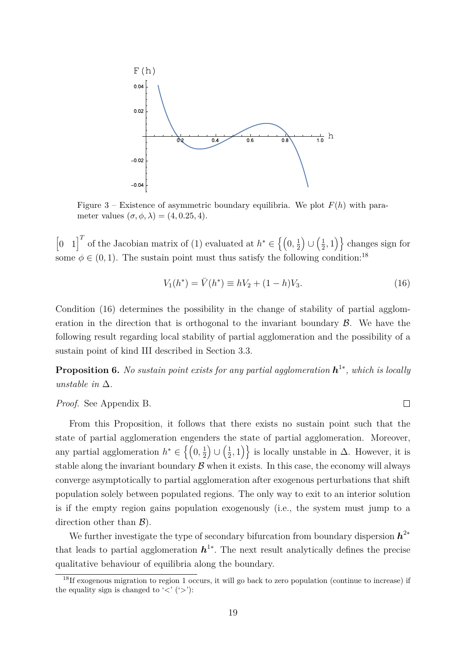

Figure 3 – Existence of asymmetric boundary equilibria. We plot  $F(h)$  with parameter values  $(\sigma, \phi, \lambda) = (4, 0.25, 4)$ .

 $\begin{bmatrix} 0 & 1 \end{bmatrix}^T$  of the Jacobian matrix of (1) evaluated at  $h^* \in \left\{ \left(0, \frac{1}{2}, \frac{1}{2}, \frac{1}{2}, \ldots, \frac{1}{n}\right) \right\}$  $\frac{1}{2}$   $\cup$   $\left(\frac{1}{2}\right)$  $\left\{\frac{1}{2}, 1\right\}$  changes sign for some  $\phi \in (0,1)$ . The sustain point must thus satisfy the following condition:<sup>18</sup>

$$
V_1(h^*) = \bar{V}(h^*) \equiv hV_2 + (1 - h)V_3.
$$
\n(16)

 $\Box$ 

Condition (16) determines the possibility in the change of stability of partial agglomeration in the direction that is orthogonal to the invariant boundary  $\beta$ . We have the following result regarding local stability of partial agglomeration and the possibility of a sustain point of kind III described in Section 3.3.

**Proposition 6.** *No sustain point exists for any partial agglomeration h* 1∗ *, which is locally unstable in* ∆*.*

*Proof.* See Appendix B.

From this Proposition, it follows that there exists no sustain point such that the state of partial agglomeration engenders the state of partial agglomeration. Moreover, any partial agglomeration  $h^* \in \left\{ \left(0, \frac{1}{2}\right)$  $\frac{1}{2}$   $\bigcup$   $\left(\frac{1}{2}\right)$  $(\frac{1}{2},1)$ } is locally unstable in  $\Delta$ . However, it is stable along the invariant boundary  $\beta$  when it exists. In this case, the economy will always converge asymptotically to partial agglomeration after exogenous perturbations that shift population solely between populated regions. The only way to exit to an interior solution is if the empty region gains population exogenously (i.e., the system must jump to a direction other than  $\mathcal{B}$ ).

We further investigate the type of secondary bifurcation from boundary dispersion *h* 2∗ that leads to partial agglomeration  $h^{1*}$ . The next result analytically defines the precise qualitative behaviour of equilibria along the boundary.

<sup>18</sup>If exogenous migration to region 1 occurs, it will go back to zero population (continue to increase) if the equality sign is changed to  $\langle \langle \rangle$  ( $\langle \rangle$ ):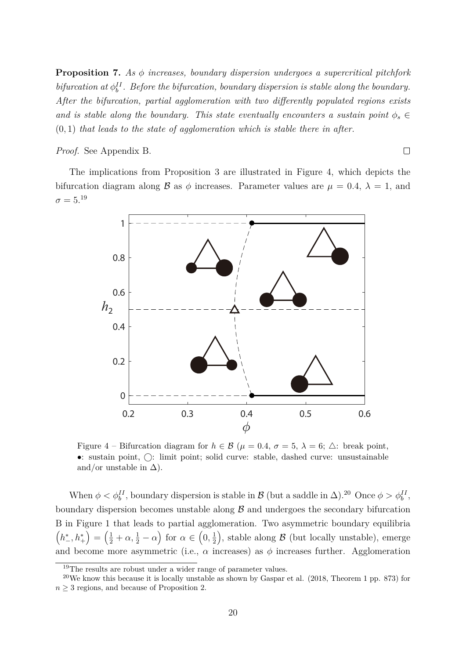**Proposition 7.** *As φ increases, boundary dispersion undergoes a supercritical pitchfork bifurcation at*  $\phi_b^H$ . Before the bifurcation, boundary dispersion is stable along the boundary. *After the bifurcation, partial agglomeration with two differently populated regions exists and is stable along the boundary. This state eventually encounters a sustain point*  $\phi_s \in$ (0*,* 1) *that leads to the state of agglomeration which is stable there in after.*

*Proof.* See Appendix B.

 $\Box$ 

The implications from Proposition 3 are illustrated in Figure 4, which depicts the bifurcation diagram along  $\beta$  as  $\phi$  increases. Parameter values are  $\mu = 0.4$ ,  $\lambda = 1$ , and  $\sigma = 5.^{19}$ 



Figure 4 – Bifurcation diagram for  $h \in \mathcal{B}$  ( $\mu = 0.4$ ,  $\sigma = 5$ ,  $\lambda = 6$ ;  $\triangle$ : break point,  $\bullet$ : sustain point,  $\bigcirc$ : limit point; solid curve: stable, dashed curve: unsustainable and/or unstable in  $\Delta$ ).

When  $\phi < \phi_b^H$ , boundary dispersion is stable in  $\mathcal{B}$  (but a saddle in  $\Delta$ ).<sup>20</sup> Once  $\phi > \phi_b^H$ , boundary dispersion becomes unstable along  $\beta$  and undergoes the secondary bifurcation B in Figure 1 that leads to partial agglomeration. Two asymmetric boundary equilibria  $(h_{-}^{*}, h_{+}^{*}) = (\frac{1}{2} + \alpha, \frac{1}{2} - \alpha)$  for  $\alpha \in (0, \frac{1}{2})$  $(\frac{1}{2})$ , stable along  $\beta$  (but locally unstable), emerge and become more asymmetric (i.e.,  $\alpha$  increases) as  $\phi$  increases further. Agglomeration

 $19$ The results are robust under a wider range of parameter values.

<sup>&</sup>lt;sup>20</sup>We know this because it is locally unstable as shown by Gaspar et al.  $(2018,$  Theorem 1 pp. 873) for  $n \geq 3$  regions, and because of Proposition 2.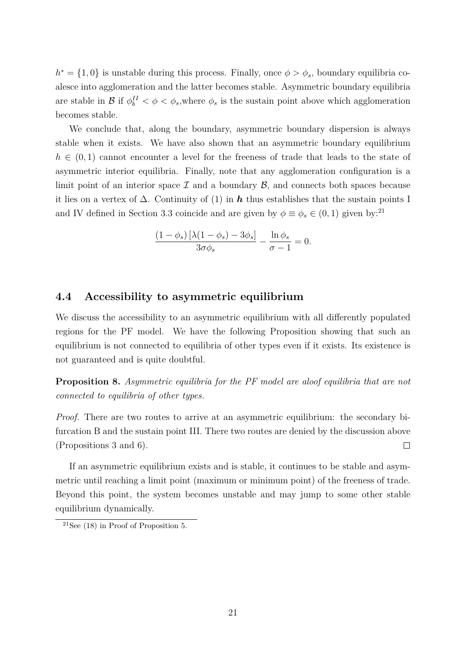$h^* = \{1, 0\}$  is unstable during this process. Finally, once  $\phi > \phi_s$ , boundary equilibria coalesce into agglomeration and the latter becomes stable. Asymmetric boundary equilibria are stable in  $\mathcal{B}$  if  $\phi_b^{\{I\}} < \phi < \phi_s$ , where  $\phi_s$  is the sustain point above which agglomeration becomes stable.

We conclude that, along the boundary, asymmetric boundary dispersion is always stable when it exists. We have also shown that an asymmetric boundary equilibrium  $h \in (0,1)$  cannot encounter a level for the freeness of trade that leads to the state of asymmetric interior equilibria. Finally, note that any agglomeration configuration is a limit point of an interior space  $\mathcal I$  and a boundary  $\mathcal B$ , and connects both spaces because it lies on a vertex of ∆. Continuity of (1) in *h* thus establishes that the sustain points I and IV defined in Section 3.3 coincide and are given by  $\phi \equiv \phi_s \in (0,1)$  given by:<sup>21</sup>

$$
\frac{(1-\phi_s)\left[\lambda(1-\phi_s)-3\phi_s\right]}{3\sigma\phi_s} - \frac{\ln\phi_s}{\sigma-1} = 0.
$$

#### **4.4 Accessibility to asymmetric equilibrium**

We discuss the accessibility to an asymmetric equilibrium with all differently populated regions for the PF model. We have the following Proposition showing that such an equilibrium is not connected to equilibria of other types even if it exists. Its existence is not guaranteed and is quite doubtful.

**Proposition 8.** *Asymmetric equilibria for the PF model are aloof equilibria that are not connected to equilibria of other types.*

*Proof.* There are two routes to arrive at an asymmetric equilibrium: the secondary bifurcation B and the sustain point III. There two routes are denied by the discussion above  $\Box$ (Propositions 3 and 6).

If an asymmetric equilibrium exists and is stable, it continues to be stable and asymmetric until reaching a limit point (maximum or minimum point) of the freeness of trade. Beyond this point, the system becomes unstable and may jump to some other stable equilibrium dynamically.

<sup>&</sup>lt;sup>21</sup>See (18) in Proof of Proposition 5.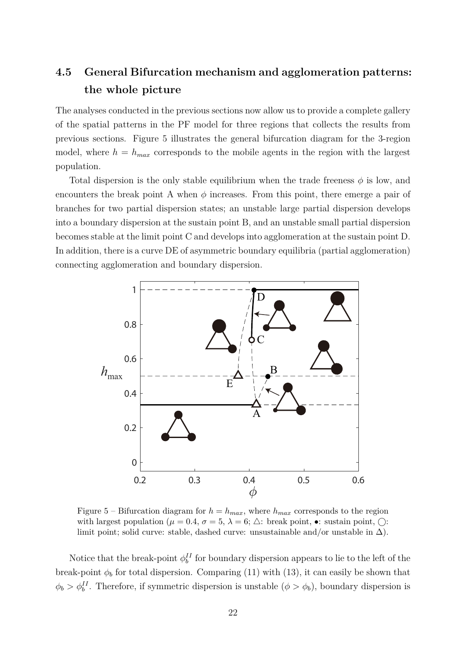# **4.5 General Bifurcation mechanism and agglomeration patterns: the whole picture**

The analyses conducted in the previous sections now allow us to provide a complete gallery of the spatial patterns in the PF model for three regions that collects the results from previous sections. Figure 5 illustrates the general bifurcation diagram for the 3-region model, where  $h = h_{max}$  corresponds to the mobile agents in the region with the largest population.

Total dispersion is the only stable equilibrium when the trade freeness  $\phi$  is low, and encounters the break point A when  $\phi$  increases. From this point, there emerge a pair of branches for two partial dispersion states; an unstable large partial dispersion develops into a boundary dispersion at the sustain point B, and an unstable small partial dispersion becomes stable at the limit point C and develops into agglomeration at the sustain point D. In addition, there is a curve DE of asymmetric boundary equilibria (partial agglomeration) connecting agglomeration and boundary dispersion.



Figure 5 – Bifurcation diagram for  $h = h_{max}$ , where  $h_{max}$  corresponds to the region with largest population  $(\mu = 0.4, \sigma = 5, \lambda = 6; \triangle$ : break point,  $\bullet$ : sustain point,  $\bigcirc$ : limit point; solid curve: stable, dashed curve: unsustainable and/or unstable in  $\Delta$ ).

Notice that the break-point  $\phi_b^H$  for boundary dispersion appears to lie to the left of the break-point  $\phi_b$  for total dispersion. Comparing (11) with (13), it can easily be shown that  $\phi_b > \phi_b^H$ . Therefore, if symmetric dispersion is unstable  $(\phi > \phi_b)$ , boundary dispersion is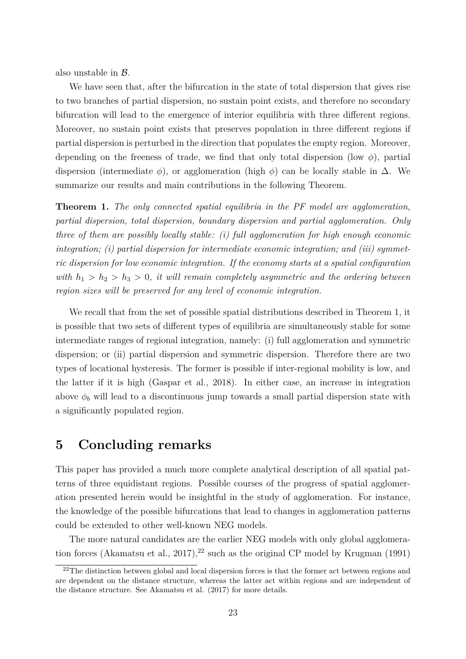also unstable in B*.*

We have seen that, after the bifurcation in the state of total dispersion that gives rise to two branches of partial dispersion, no sustain point exists, and therefore no secondary bifurcation will lead to the emergence of interior equilibria with three different regions. Moreover, no sustain point exists that preserves population in three different regions if partial dispersion is perturbed in the direction that populates the empty region. Moreover, depending on the freeness of trade, we find that only total dispersion (low  $\phi$ ), partial dispersion (intermediate  $\phi$ ), or agglomeration (high  $\phi$ ) can be locally stable in  $\Delta$ . We summarize our results and main contributions in the following Theorem.

**Theorem 1.** *The only connected spatial equilibria in the PF model are agglomeration, partial dispersion, total dispersion, boundary dispersion and partial agglomeration. Only three of them are possibly locally stable: (i) full agglomeration for high enough economic integration; (i) partial dispersion for intermediate economic integration; and (iii) symmetric dispersion for low economic integration. If the economy starts at a spatial configuration with*  $h_1 > h_2 > h_3 > 0$ , *it will remain completely asymmetric and the ordering between region sizes will be preserved for any level of economic integration.*

We recall that from the set of possible spatial distributions described in Theorem 1, it is possible that two sets of different types of equilibria are simultaneously stable for some intermediate ranges of regional integration, namely: (i) full agglomeration and symmetric dispersion; or (ii) partial dispersion and symmetric dispersion. Therefore there are two types of locational hysteresis. The former is possible if inter-regional mobility is low, and the latter if it is high (Gaspar et al., 2018). In either case, an increase in integration above  $\phi_b$  will lead to a discontinuous jump towards a small partial dispersion state with a significantly populated region.

## **5 Concluding remarks**

This paper has provided a much more complete analytical description of all spatial patterns of three equidistant regions. Possible courses of the progress of spatial agglomeration presented herein would be insightful in the study of agglomeration. For instance, the knowledge of the possible bifurcations that lead to changes in agglomeration patterns could be extended to other well-known NEG models.

The more natural candidates are the earlier NEG models with only global agglomeration forces (Akamatsu et al., 2017),<sup>22</sup> such as the original CP model by Krugman (1991)

<sup>&</sup>lt;sup>22</sup>The distinction between global and local dispersion forces is that the former act between regions and are dependent on the distance structure, whereas the latter act within regions and are independent of the distance structure. See Akamatsu et al. (2017) for more details.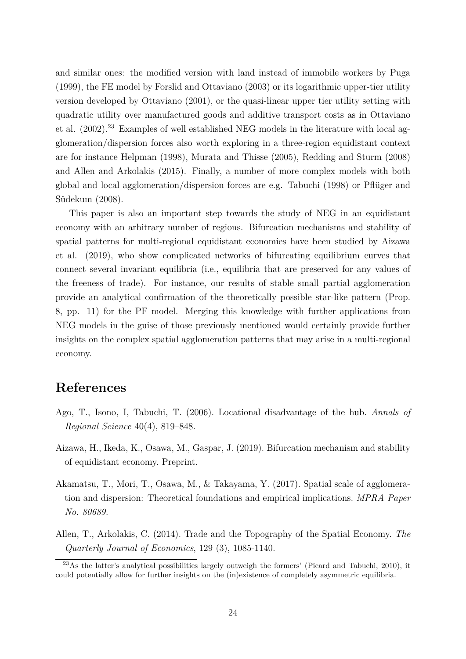and similar ones: the modified version with land instead of immobile workers by Puga (1999), the FE model by Forslid and Ottaviano (2003) or its logarithmic upper-tier utility version developed by Ottaviano (2001), or the quasi-linear upper tier utility setting with quadratic utility over manufactured goods and additive transport costs as in Ottaviano et al.  $(2002)$ <sup>23</sup> Examples of well established NEG models in the literature with local agglomeration/dispersion forces also worth exploring in a three-region equidistant context are for instance Helpman (1998), Murata and Thisse (2005), Redding and Sturm (2008) and Allen and Arkolakis (2015). Finally, a number of more complex models with both global and local agglomeration/dispersion forces are e.g. Tabuchi (1998) or Pflüger and Südekum (2008).

This paper is also an important step towards the study of NEG in an equidistant economy with an arbitrary number of regions. Bifurcation mechanisms and stability of spatial patterns for multi-regional equidistant economies have been studied by Aizawa et al. (2019), who show complicated networks of bifurcating equilibrium curves that connect several invariant equilibria (i.e., equilibria that are preserved for any values of the freeness of trade). For instance, our results of stable small partial agglomeration provide an analytical confirmation of the theoretically possible star-like pattern (Prop. 8, pp. 11) for the PF model. Merging this knowledge with further applications from NEG models in the guise of those previously mentioned would certainly provide further insights on the complex spatial agglomeration patterns that may arise in a multi-regional economy.

# **References**

- Ago, T., Isono, I, Tabuchi, T. (2006). Locational disadvantage of the hub. *Annals of Regional Science* 40(4), 819–848.
- Aizawa, H., Ikeda, K., Osawa, M., Gaspar, J. (2019). Bifurcation mechanism and stability of equidistant economy. Preprint.
- Akamatsu, T., Mori, T., Osawa, M., & Takayama, Y. (2017). Spatial scale of agglomeration and dispersion: Theoretical foundations and empirical implications. *MPRA Paper No. 80689.*
- Allen, T., Arkolakis, C. (2014). Trade and the Topography of the Spatial Economy. *The Quarterly Journal of Economics*, 129 (3), 1085-1140.

 $^{23}$ As the latter's analytical possibilities largely outweigh the formers' (Picard and Tabuchi, 2010), it could potentially allow for further insights on the (in)existence of completely asymmetric equilibria.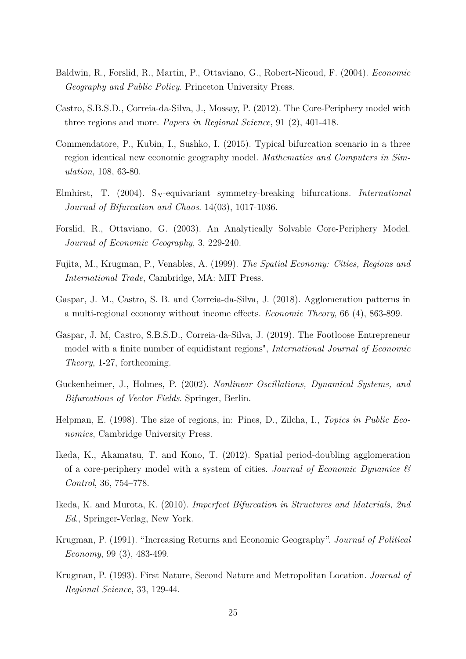- Baldwin, R., Forslid, R., Martin, P., Ottaviano, G., Robert-Nicoud, F. (2004). *Economic Geography and Public Policy*. Princeton University Press.
- Castro, S.B.S.D., Correia-da-Silva, J., Mossay, P. (2012). The Core-Periphery model with three regions and more. *Papers in Regional Science*, 91 (2), 401-418.
- Commendatore, P., Kubin, I., Sushko, I. (2015). Typical bifurcation scenario in a three region identical new economic geography model. *Mathematics and Computers in Simulation*, 108, 63-80.
- Elmhirst, T. (2004). S*<sup>N</sup>* -equivariant symmetry-breaking bifurcations. *International Journal of Bifurcation and Chaos*. 14(03), 1017-1036.
- Forslid, R., Ottaviano, G. (2003). An Analytically Solvable Core-Periphery Model. *Journal of Economic Geography*, 3, 229-240.
- Fujita, M., Krugman, P., Venables, A. (1999). *The Spatial Economy: Cities, Regions and International Trade*, Cambridge, MA: MIT Press.
- Gaspar, J. M., Castro, S. B. and Correia-da-Silva, J. (2018). Agglomeration patterns in a multi-regional economy without income effects. *Economic Theory*, 66 (4), 863-899.
- Gaspar, J. M, Castro, S.B.S.D., Correia-da-Silva, J. (2019). The Footloose Entrepreneur model with a finite number of equidistant regions", *International Journal of Economic Theory*, 1-27, forthcoming.
- Guckenheimer, J., Holmes, P. (2002). *Nonlinear Oscillations, Dynamical Systems, and Bifurcations of Vector Fields*. Springer, Berlin.
- Helpman, E. (1998). The size of regions, in: Pines, D., Zilcha, I., *Topics in Public Economics*, Cambridge University Press.
- Ikeda, K., Akamatsu, T. and Kono, T. (2012). Spatial period-doubling agglomeration of a core-periphery model with a system of cities. *Journal of Economic Dynamics & Control*, 36, 754–778.
- Ikeda, K. and Murota, K. (2010). *Imperfect Bifurcation in Structures and Materials, 2nd Ed*., Springer-Verlag, New York.
- Krugman, P. (1991). "Increasing Returns and Economic Geography". *Journal of Political Economy*, 99 (3), 483-499.
- Krugman, P. (1993). First Nature, Second Nature and Metropolitan Location. *Journal of Regional Science*, 33, 129-44.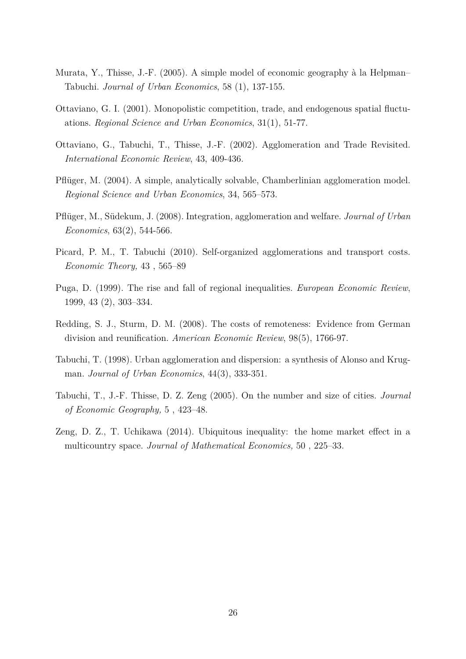- Murata, Y., Thisse, J.-F. (2005). A simple model of economic geography à la Helpman– Tabuchi. *Journal of Urban Economics*, 58 (1), 137-155.
- Ottaviano, G. I. (2001). Monopolistic competition, trade, and endogenous spatial fluctuations. *Regional Science and Urban Economics*, 31(1), 51-77.
- Ottaviano, G., Tabuchi, T., Thisse, J.-F. (2002). Agglomeration and Trade Revisited. *International Economic Review*, 43, 409-436.
- Pflüger, M. (2004). A simple, analytically solvable, Chamberlinian agglomeration model. *Regional Science and Urban Economics*, 34, 565–573.
- Pflüger, M., Südekum, J. (2008). Integration, agglomeration and welfare. *Journal of Urban Economics*, 63(2), 544-566.
- Picard, P. M., T. Tabuchi (2010). Self-organized agglomerations and transport costs. *Economic Theory,* 43 , 565–89
- Puga, D. (1999). The rise and fall of regional inequalities. *European Economic Review*, 1999, 43 (2), 303–334.
- Redding, S. J., Sturm, D. M. (2008). The costs of remoteness: Evidence from German division and reunification. *American Economic Review*, 98(5), 1766-97.
- Tabuchi, T. (1998). Urban agglomeration and dispersion: a synthesis of Alonso and Krugman. *Journal of Urban Economics*, 44(3), 333-351.
- Tabuchi, T., J.-F. Thisse, D. Z. Zeng (2005). On the number and size of cities. *Journal of Economic Geography,* 5 , 423–48.
- Zeng, D. Z., T. Uchikawa (2014). Ubiquitous inequality: the home market effect in a multicountry space. *Journal of Mathematical Economics,* 50 , 225–33.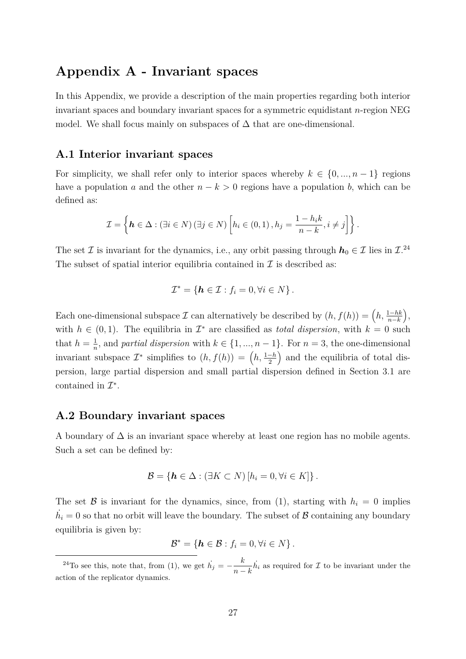# **Appendix A - Invariant spaces**

In this Appendix, we provide a description of the main properties regarding both interior invariant spaces and boundary invariant spaces for a symmetric equidistant *n*-region NEG model. We shall focus mainly on subspaces of  $\Delta$  that are one-dimensional.

### **A.1 Interior invariant spaces**

For simplicity, we shall refer only to interior spaces whereby  $k \in \{0, ..., n-1\}$  regions have a population *a* and the other  $n - k > 0$  regions have a population *b*, which can be defined as:

$$
\mathcal{I} = \left\{ \boldsymbol{h} \in \Delta : (\exists i \in N) \, (\exists j \in N) \left[ h_i \in (0,1) \,, h_j = \frac{1 - h_i k}{n - k}, i \neq j \right] \right\}.
$$

The set  $\mathcal I$  is invariant for the dynamics, i.e., any orbit passing through  $h_0 \in \mathcal I$  lies in  $\mathcal I^{24}$ . The subset of spatial interior equilibria contained in  $\mathcal I$  is described as:

$$
\mathcal{I}^* = \{ \mathbf{h} \in \mathcal{I} : f_i = 0, \forall i \in N \}.
$$

Each one-dimensional subspace  $\mathcal I$  can alternatively be described by  $(h, f(h)) = (h, \frac{1-hk}{n-k}),$ with  $h \in (0,1)$ . The equilibria in  $\mathcal{I}^*$  are classified as *total dispersion*, with  $k = 0$  such that  $h=\frac{1}{n}$  $\frac{1}{n}$ , and *partial dispersion* with  $k \in \{1, ..., n-1\}$ . For  $n = 3$ , the one-dimensional invariant subspace  $\mathcal{I}^*$  simplifies to  $(h, f(h)) = (h, \frac{1-h}{2})$  and the equilibria of total dispersion, large partial dispersion and small partial dispersion defined in Section 3.1 are contained in  $\mathcal{I}^*$ .

### **A.2 Boundary invariant spaces**

A boundary of  $\Delta$  is an invariant space whereby at least one region has no mobile agents. Such a set can be defined by:

$$
\mathcal{B} = \{ \mathbf{h} \in \Delta : (\exists K \subset N) [h_i = 0, \forall i \in K] \}.
$$

The set  $\beta$  is invariant for the dynamics, since, from (1), starting with  $h_i = 0$  implies  $\dot{h}_i = 0$  so that no orbit will leave the boundary. The subset of  $\mathcal{B}$  containing any boundary equilibria is given by:

$$
\mathcal{B}^* = \{ \mathbf{h} \in \mathcal{B} : f_i = 0, \forall i \in N \}.
$$

<sup>&</sup>lt;sup>24</sup>To see this, note that, from (1), we get  $\dot{h}_j = -\frac{k}{n}$  $\frac{k}{n-k}$  *h*<sup>i</sup> as required for *I* to be invariant under the action of the replicator dynamics.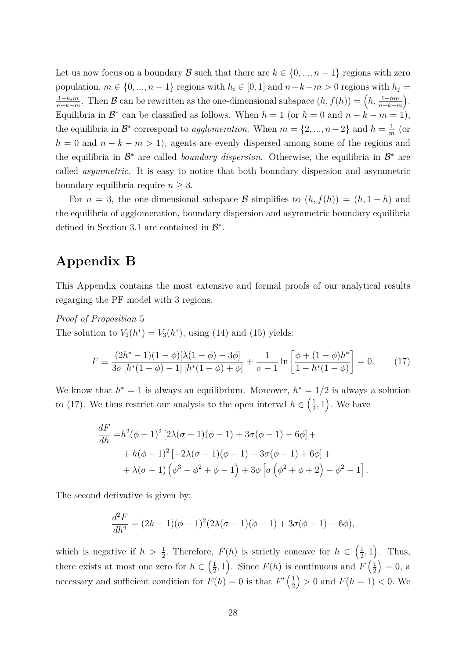Let us now focus on a boundary B such that there are  $k \in \{0, ..., n-1\}$  regions with zero population,  $m \in \{0, ..., n-1\}$  regions with  $h_i \in [0, 1]$  and  $n-k-m > 0$  regions with  $h_j =$ 1−*him*  $\frac{1-h_i m}{n-k-m}$ . Then B can be rewritten as the one-dimensional subspace  $(h, f(h)) = (h, \frac{1-hm}{n-k-m})$ . Equilibria in  $\mathcal{B}^*$  can be classified as follows. When  $h = 1$  (or  $h = 0$  and  $n - k - m = 1$ ), the equilibria in  $\mathcal{B}^*$  correspond to *agglomeration*. When  $m = \{2, ..., n-2\}$  and  $h = \frac{1}{n}$  $\frac{1}{m}$  (or  $h = 0$  and  $n - k - m > 1$ , agents are evenly dispersed among some of the regions and the equilibria in  $\mathcal{B}^*$  are called *boundary dispersion*. Otherwise, the equilibria in  $\mathcal{B}^*$  are called *asymmetric*. It is easy to notice that both boundary dispersion and asymmetric boundary equilibria require  $n \geq 3$ .

For  $n = 3$ , the one-dimensional subspace B simplifies to  $(h, f(h)) = (h, 1-h)$  and the equilibria of agglomeration, boundary dispersion and asymmetric boundary equilibria defined in Section 3.1 are contained in  $\mathcal{B}^*$ .

# **Appendix B**

This Appendix contains the most extensive and formal proofs of our analytical results regarging the PF model with 3 regions.

*Proof of Proposition* 5

The solution to  $V_2(h^*) = V_3(h^*)$ , using (14) and (15) yields:

$$
F \equiv \frac{(2h^* - 1)(1 - \phi)[\lambda(1 - \phi) - 3\phi]}{3\sigma [h^*(1 - \phi) - 1][h^*(1 - \phi) + \phi]} + \frac{1}{\sigma - 1} \ln \left[ \frac{\phi + (1 - \phi)h^*}{1 - h^*(1 - \phi)} \right] = 0.
$$
 (17)

We know that  $h^* = 1$  is always an equilibrium. Moreover,  $h^* = 1/2$  is always a solution to (17). We thus restrict our analysis to the open interval  $h \in \left(\frac{1}{2}\right)$  $(\frac{1}{2}, 1)$ . We have

$$
\frac{dF}{dh} = h^2(\phi - 1)^2 [2\lambda(\sigma - 1)(\phi - 1) + 3\sigma(\phi - 1) - 6\phi] ++ h(\phi - 1)^2 [-2\lambda(\sigma - 1)(\phi - 1) - 3\sigma(\phi - 1) + 6\phi] ++ \lambda(\sigma - 1) (\phi^3 - \phi^2 + \phi - 1) + 3\phi [\sigma (\phi^2 + \phi + 2) - \phi^2 - 1].
$$

The second derivative is given by:

$$
\frac{d^2F}{dh^2} = (2h-1)(\phi-1)^2(2\lambda(\sigma-1)(\phi-1) + 3\sigma(\phi-1) - 6\phi),
$$

which is negative if  $h > \frac{1}{2}$ . Therefore,  $F(h)$  is strictly concave for  $h \in \left(\frac{1}{2}\right)$  $(\frac{1}{2}, 1)$ . Thus, there exists at most one zero for  $h \in \left(\frac{1}{2}\right)$  $(\frac{1}{2}, 1)$ . Since  $F(h)$  is continuous and  $F\left(\frac{1}{2},\frac{1}{2}\right)$  $(\frac{1}{2}) = 0$ , a necessary and sufficient condition for  $F(h) = 0$  is that  $F'(\frac{1}{2})$  $\frac{1}{2}$  > 0 and  $F(h = 1) < 0$ . We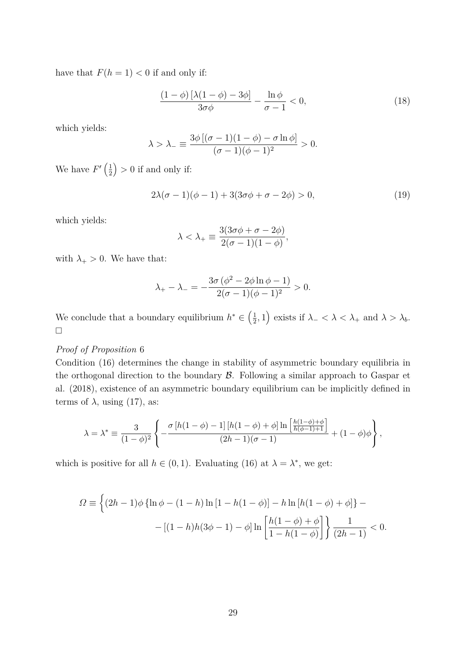have that  $F(h = 1) < 0$  if and only if:

$$
\frac{(1-\phi)\left[\lambda(1-\phi)-3\phi\right]}{3\sigma\phi} - \frac{\ln\phi}{\sigma-1} < 0,\tag{18}
$$

which yields:

$$
\lambda > \lambda_{-} \equiv \frac{3\phi [(\sigma - 1)(1 - \phi) - \sigma \ln \phi]}{(\sigma - 1)(\phi - 1)^2} > 0.
$$

We have  $F'(\frac{1}{2})$  $\left(\frac{1}{2}\right) > 0$  if and only if:

$$
2\lambda(\sigma - 1)(\phi - 1) + 3(3\sigma\phi + \sigma - 2\phi) > 0,
$$
\n(19)

which yields:

$$
\lambda < \lambda_+ \equiv \frac{3(3\sigma\phi + \sigma - 2\phi)}{2(\sigma - 1)(1 - \phi)},
$$

with  $\lambda_+ > 0$ . We have that:

$$
\lambda_{+} - \lambda_{-} = -\frac{3\sigma (\phi^2 - 2\phi \ln \phi - 1)}{2(\sigma - 1)(\phi - 1)^2} > 0.
$$

We conclude that a boundary equilibrium  $h^* \in \left(\frac{1}{2}\right)$  $(\frac{1}{2}, 1)$  exists if  $\lambda_{-} < \lambda < \lambda_{+}$  and  $\lambda > \lambda_{b}$ .  $\Box$ 

#### *Proof of Proposition* 6

Condition (16) determines the change in stability of asymmetric boundary equilibria in the orthogonal direction to the boundary  $\beta$ . Following a similar approach to Gaspar et al. (2018), existence of an asymmetric boundary equilibrium can be implicitly defined in terms of  $\lambda$ , using (17), as:

$$
\lambda = \lambda^* \equiv \frac{3}{(1-\phi)^2} \left\{ -\frac{\sigma \left[ h(1-\phi) - 1 \right] \left[ h(1-\phi) + \phi \right] \ln \left[ \frac{h(1-\phi) + \phi}{h(\phi-1)+1} \right]}{(2h-1)(\sigma-1)} + (1-\phi)\phi \right\},\,
$$

which is positive for all  $h \in (0, 1)$ . Evaluating (16) at  $\lambda = \lambda^*$ , we get:

$$
\Omega \equiv \left\{ (2h-1)\phi \left\{ \ln \phi - (1-h) \ln \left[ 1 - h(1-\phi) \right] - h \ln \left[ h(1-\phi) + \phi \right] \right\} - \left[ (1-h)h(3\phi - 1) - \phi \right] \ln \left[ \frac{h(1-\phi) + \phi}{1-h(1-\phi)} \right] \right\} \frac{1}{(2h-1)} < 0.
$$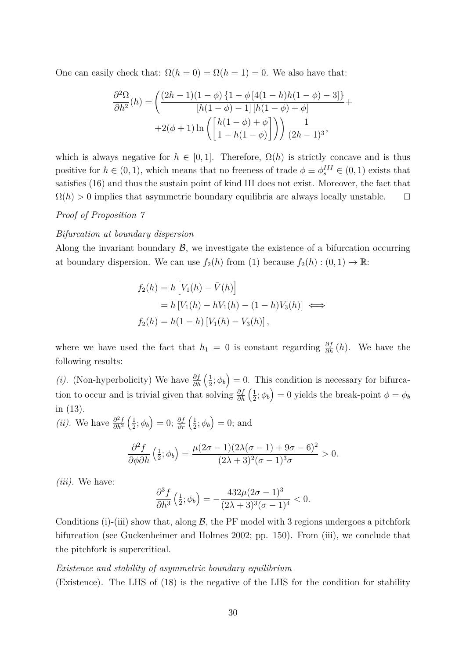One can easily check that:  $\Omega(h = 0) = \Omega(h = 1) = 0$ . We also have that:

$$
\frac{\partial^2 \Omega}{\partial h^2}(h) = \left( \frac{(2h-1)(1-\phi)\{1-\phi\}[4(1-h)h(1-\phi)-3]\}}{[h(1-\phi)-1]\,[h(1-\phi)+\phi]} + 2(\phi+1)\ln\left(\left[\frac{h(1-\phi)+\phi}{1-h(1-\phi)}\right]\right) \right) \frac{1}{(2h-1)^3},
$$

which is always negative for  $h \in [0,1]$ . Therefore,  $\Omega(h)$  is strictly concave and is thus positive for  $h \in (0, 1)$ , which means that no freeness of trade  $\phi \equiv \phi_s^{III} \in (0, 1)$  exists that satisfies (16) and thus the sustain point of kind III does not exist. Moreover, the fact that  $\Omega(h) > 0$  implies that asymmetric boundary equilibria are always locally unstable.  $\square$ 

#### *Proof of Proposition 7*

#### *Bifurcation at boundary dispersion*

Along the invariant boundary  $\mathcal{B}$ , we investigate the existence of a bifurcation occurring at boundary dispersion. We can use  $f_2(h)$  from (1) because  $f_2(h) : (0,1) \mapsto \mathbb{R}$ :

$$
f_2(h) = h \left[ V_1(h) - \bar{V}(h) \right]
$$
  
=  $h \left[ V_1(h) - hV_1(h) - (1 - h)V_3(h) \right] \iff$   

$$
f_2(h) = h(1 - h) \left[ V_1(h) - V_3(h) \right],
$$

where we have used the fact that  $h_1 = 0$  is constant regarding  $\frac{\partial f}{\partial h}(h)$ . We have the following results:

*(i).* (Non-hyperbolicity) We have  $\frac{\partial f}{\partial h}$   $\left(\frac{1}{2}\right)$  $(\frac{1}{2}; \phi_b) = 0$ . This condition is necessary for bifurcation to occur and is trivial given that solving  $\frac{\partial f}{\partial h}$   $\left(\frac{1}{2}\right)$  $(\frac{1}{2}; \phi_b) = 0$  yields the break-point  $\phi = \phi_b$ in (13).

*(ii).* We have  $\frac{\partial^2 f}{\partial h^2}$  $\frac{\partial^2 f}{\partial h^2}$   $\left(\frac{1}{2}\right)$  $\frac{1}{2}$ ;  $\phi_b$ ) = 0;  $\frac{\partial f}{\partial r}$   $\left(\frac{1}{2}\right)$  $(\frac{1}{2}; \phi_b) = 0;$  and

$$
\frac{\partial^2 f}{\partial \phi \partial h} \left( \frac{1}{2}; \phi_b \right) = \frac{\mu (2\sigma - 1)(2\lambda(\sigma - 1) + 9\sigma - 6)^2}{(2\lambda + 3)^2 (\sigma - 1)^3 \sigma} > 0.
$$

*(iii).* We have:

$$
\frac{\partial^3 f}{\partial h^3} \left( \frac{1}{2}; \phi_b \right) = -\frac{432\mu(2\sigma - 1)^3}{(2\lambda + 3)^3(\sigma - 1)^4} < 0.
$$

Conditions (i)-(iii) show that, along  $\mathcal{B}$ , the PF model with 3 regions undergoes a pitchfork bifurcation (see Guckenheimer and Holmes 2002; pp. 150). From (iii), we conclude that the pitchfork is supercritical.

#### *Existence and stability of asymmetric boundary equilibrium*

(Existence)*.* The LHS of (18) is the negative of the LHS for the condition for stability